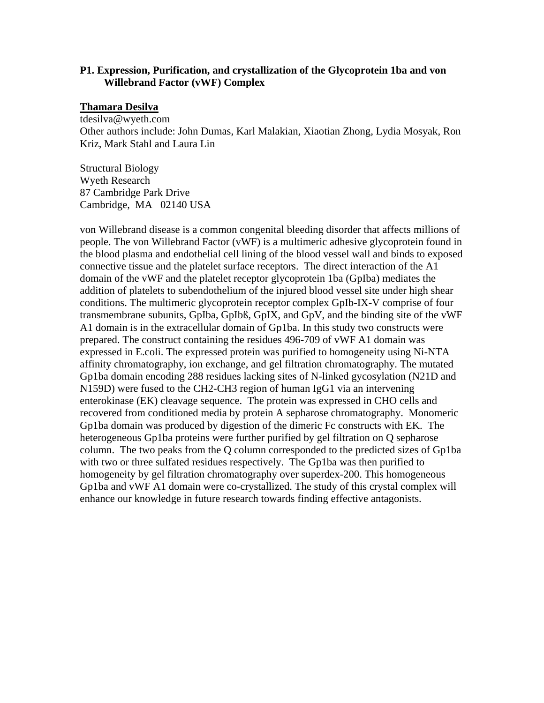## **P1. Expression, Purification, and crystallization of the Glycoprotein 1ba and von Willebrand Factor (vWF) Complex**

#### **Thamara Desilva**

tdesilva@wyeth.com Other authors include: John Dumas, Karl Malakian, Xiaotian Zhong, Lydia Mosyak, Ron Kriz, Mark Stahl and Laura Lin

Structural Biology Wyeth Research 87 Cambridge Park Drive Cambridge, MA 02140 USA

von Willebrand disease is a common congenital bleeding disorder that affects millions of people. The von Willebrand Factor (vWF) is a multimeric adhesive glycoprotein found in the blood plasma and endothelial cell lining of the blood vessel wall and binds to exposed connective tissue and the platelet surface receptors. The direct interaction of the A1 domain of the vWF and the platelet receptor glycoprotein 1ba (GpIba) mediates the addition of platelets to subendothelium of the injured blood vessel site under high shear conditions. The multimeric glycoprotein receptor complex GpIb-IX-V comprise of four transmembrane subunits, GpIba, GpIbß, GpIX, and GpV, and the binding site of the vWF A1 domain is in the extracellular domain of Gp1ba. In this study two constructs were prepared. The construct containing the residues 496-709 of vWF A1 domain was expressed in E.coli. The expressed protein was purified to homogeneity using Ni-NTA affinity chromatography, ion exchange, and gel filtration chromatography. The mutated Gp1ba domain encoding 288 residues lacking sites of N-linked gycosylation (N21D and N159D) were fused to the CH2-CH3 region of human IgG1 via an intervening enterokinase (EK) cleavage sequence. The protein was expressed in CHO cells and recovered from conditioned media by protein A sepharose chromatography. Monomeric Gp1ba domain was produced by digestion of the dimeric Fc constructs with EK. The heterogeneous Gp1ba proteins were further purified by gel filtration on Q sepharose column. The two peaks from the Q column corresponded to the predicted sizes of Gp1ba with two or three sulfated residues respectively. The Gp1ba was then purified to homogeneity by gel filtration chromatography over superdex-200. This homogeneous Gp1ba and vWF A1 domain were co-crystallized. The study of this crystal complex will enhance our knowledge in future research towards finding effective antagonists.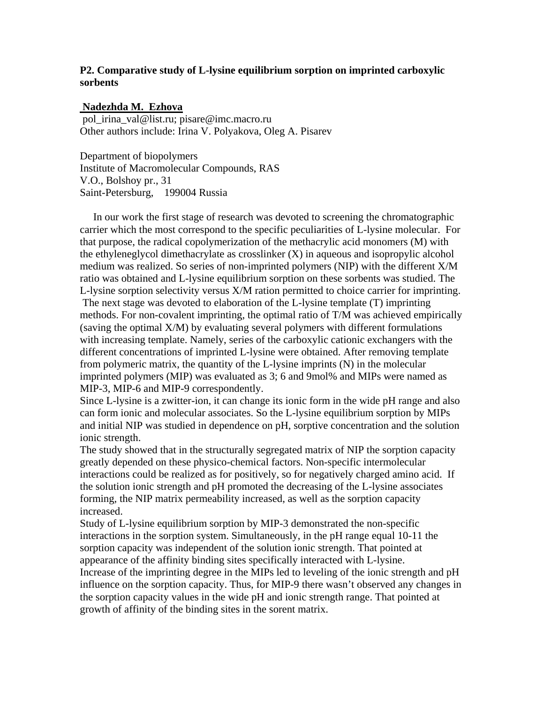# **P2. Comparative study of L-lysine equilibrium sorption on imprinted carboxylic sorbents**

# **Nadezhda M. Ezhova**

 pol\_irina\_val@list.ru; pisare@imc.macro.ru Other authors include: Irina V. Polyakova, Oleg A. Pisarev

Department of biopolymers Institute of Macromolecular Compounds, RAS V.O., Bolshoy pr., 31 Saint-Petersburg, 199004 Russia

 In our work the first stage of research was devoted to screening the chromatographic carrier which the most correspond to the specific peculiarities of L-lysine molecular. For that purpose, the radical copolymerization of the methacrylic acid monomers (M) with the ethyleneglycol dimethacrylate as crosslinker (X) in aqueous and isopropylic alcohol medium was realized. So series of non-imprinted polymers (NIP) with the different X/M ratio was obtained and L-lysine equilibrium sorption on these sorbents was studied. The L-lysine sorption selectivity versus X/M ration permitted to choice carrier for imprinting. The next stage was devoted to elaboration of the L-lysine template (T) imprinting methods. For non-covalent imprinting, the optimal ratio of T/M was achieved empirically (saving the optimal X/M) by evaluating several polymers with different formulations with increasing template. Namely, series of the carboxylic cationic exchangers with the different concentrations of imprinted L-lysine were obtained. After removing template from polymeric matrix, the quantity of the L-lysine imprints (N) in the molecular imprinted polymers (MIP) was evaluated as 3; 6 and 9mol% and MIPs were named as MIP-3, MIP-6 and MIP-9 correspondently.

Since L-lysine is a zwitter-ion, it can change its ionic form in the wide pH range and also can form ionic and molecular associates. So the L-lysine equilibrium sorption by MIPs and initial NIP was studied in dependence on pH, sorptive concentration and the solution ionic strength.

The study showed that in the structurally segregated matrix of NIP the sorption capacity greatly depended on these physico-chemical factors. Non-specific intermolecular interactions could be realized as for positively, so for negatively charged amino acid. If the solution ionic strength and pH promoted the decreasing of the L-lysine associates forming, the NIP matrix permeability increased, as well as the sorption capacity increased.

Study of L-lysine equilibrium sorption by MIP-3 demonstrated the non-specific interactions in the sorption system. Simultaneously, in the pH range equal 10-11 the sorption capacity was independent of the solution ionic strength. That pointed at appearance of the affinity binding sites specifically interacted with L-lysine.

Increase of the imprinting degree in the MIPs led to leveling of the ionic strength and pH influence on the sorption capacity. Thus, for MIP-9 there wasn't observed any changes in the sorption capacity values in the wide pH and ionic strength range. That pointed at growth of affinity of the binding sites in the sorent matrix.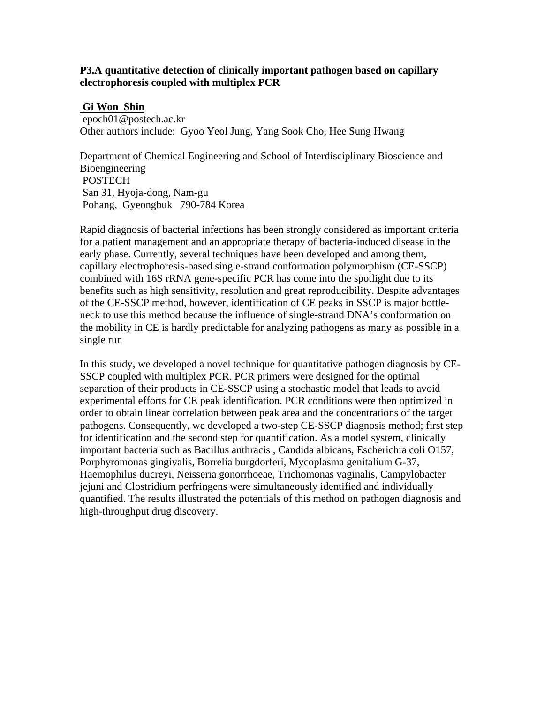## **P3.A quantitative detection of clinically important pathogen based on capillary electrophoresis coupled with multiplex PCR**

#### **Gi Won Shin**

 epoch01@postech.ac.kr Other authors include: Gyoo Yeol Jung, Yang Sook Cho, Hee Sung Hwang

Department of Chemical Engineering and School of Interdisciplinary Bioscience and Bioengineering **POSTECH**  San 31, Hyoja-dong, Nam-gu Pohang, Gyeongbuk 790-784 Korea

Rapid diagnosis of bacterial infections has been strongly considered as important criteria for a patient management and an appropriate therapy of bacteria-induced disease in the early phase. Currently, several techniques have been developed and among them, capillary electrophoresis-based single-strand conformation polymorphism (CE-SSCP) combined with 16S rRNA gene-specific PCR has come into the spotlight due to its benefits such as high sensitivity, resolution and great reproducibility. Despite advantages of the CE-SSCP method, however, identification of CE peaks in SSCP is major bottleneck to use this method because the influence of single-strand DNA's conformation on the mobility in CE is hardly predictable for analyzing pathogens as many as possible in a single run

In this study, we developed a novel technique for quantitative pathogen diagnosis by CE-SSCP coupled with multiplex PCR. PCR primers were designed for the optimal separation of their products in CE-SSCP using a stochastic model that leads to avoid experimental efforts for CE peak identification. PCR conditions were then optimized in order to obtain linear correlation between peak area and the concentrations of the target pathogens. Consequently, we developed a two-step CE-SSCP diagnosis method; first step for identification and the second step for quantification. As a model system, clinically important bacteria such as Bacillus anthracis , Candida albicans, Escherichia coli O157, Porphyromonas gingivalis, Borrelia burgdorferi, Mycoplasma genitalium G-37, Haemophilus ducreyi, Neisseria gonorrhoeae, Trichomonas vaginalis, Campylobacter jejuni and Clostridium perfringens were simultaneously identified and individually quantified. The results illustrated the potentials of this method on pathogen diagnosis and high-throughput drug discovery.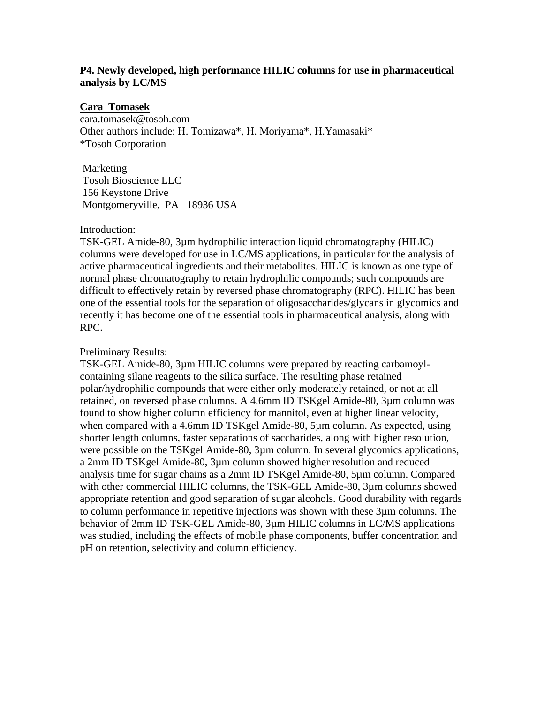# **P4. Newly developed, high performance HILIC columns for use in pharmaceutical analysis by LC/MS**

#### **Cara Tomasek**

cara.tomasek@tosoh.com Other authors include: H. Tomizawa\*, H. Moriyama\*, H.Yamasaki\* \*Tosoh Corporation

 Marketing Tosoh Bioscience LLC 156 Keystone Drive Montgomeryville, PA 18936 USA

#### Introduction:

TSK-GEL Amide-80, 3µm hydrophilic interaction liquid chromatography (HILIC) columns were developed for use in LC/MS applications, in particular for the analysis of active pharmaceutical ingredients and their metabolites. HILIC is known as one type of normal phase chromatography to retain hydrophilic compounds; such compounds are difficult to effectively retain by reversed phase chromatography (RPC). HILIC has been one of the essential tools for the separation of oligosaccharides/glycans in glycomics and recently it has become one of the essential tools in pharmaceutical analysis, along with RPC.

#### Preliminary Results:

TSK-GEL Amide-80, 3µm HILIC columns were prepared by reacting carbamoylcontaining silane reagents to the silica surface. The resulting phase retained polar/hydrophilic compounds that were either only moderately retained, or not at all retained, on reversed phase columns. A 4.6mm ID TSKgel Amide-80, 3µm column was found to show higher column efficiency for mannitol, even at higher linear velocity, when compared with a 4.6mm ID TSKgel Amide-80, 5µm column. As expected, using shorter length columns, faster separations of saccharides, along with higher resolution, were possible on the TSKgel Amide-80, 3µm column. In several glycomics applications, a 2mm ID TSKgel Amide-80, 3µm column showed higher resolution and reduced analysis time for sugar chains as a 2mm ID TSKgel Amide-80, 5µm column. Compared with other commercial HILIC columns, the TSK-GEL Amide-80, 3µm columns showed appropriate retention and good separation of sugar alcohols. Good durability with regards to column performance in repetitive injections was shown with these 3µm columns. The behavior of 2mm ID TSK-GEL Amide-80, 3µm HILIC columns in LC/MS applications was studied, including the effects of mobile phase components, buffer concentration and pH on retention, selectivity and column efficiency.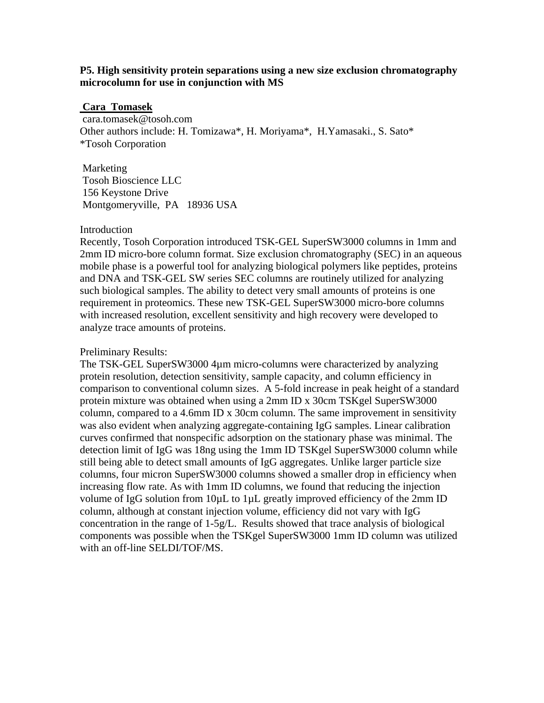### **P5. High sensitivity protein separations using a new size exclusion chromatography microcolumn for use in conjunction with MS**

#### **Cara Tomasek**

 cara.tomasek@tosoh.com Other authors include: H. Tomizawa\*, H. Moriyama\*, H.Yamasaki., S. Sato\* \*Tosoh Corporation

 Marketing Tosoh Bioscience LLC 156 Keystone Drive Montgomeryville, PA 18936 USA

#### Introduction

Recently, Tosoh Corporation introduced TSK-GEL SuperSW3000 columns in 1mm and 2mm ID micro-bore column format. Size exclusion chromatography (SEC) in an aqueous mobile phase is a powerful tool for analyzing biological polymers like peptides, proteins and DNA and TSK-GEL SW series SEC columns are routinely utilized for analyzing such biological samples. The ability to detect very small amounts of proteins is one requirement in proteomics. These new TSK-GEL SuperSW3000 micro-bore columns with increased resolution, excellent sensitivity and high recovery were developed to analyze trace amounts of proteins.

#### Preliminary Results:

The TSK-GEL SuperSW3000 4µm micro-columns were characterized by analyzing protein resolution, detection sensitivity, sample capacity, and column efficiency in comparison to conventional column sizes. A 5-fold increase in peak height of a standard protein mixture was obtained when using a 2mm ID x 30cm TSKgel SuperSW3000 column, compared to a 4.6mm ID x 30cm column. The same improvement in sensitivity was also evident when analyzing aggregate-containing IgG samples. Linear calibration curves confirmed that nonspecific adsorption on the stationary phase was minimal. The detection limit of IgG was 18ng using the 1mm ID TSKgel SuperSW3000 column while still being able to detect small amounts of IgG aggregates. Unlike larger particle size columns, four micron SuperSW3000 columns showed a smaller drop in efficiency when increasing flow rate. As with 1mm ID columns, we found that reducing the injection volume of IgG solution from 10µL to 1µL greatly improved efficiency of the 2mm ID column, although at constant injection volume, efficiency did not vary with IgG concentration in the range of 1-5g/L. Results showed that trace analysis of biological components was possible when the TSKgel SuperSW3000 1mm ID column was utilized with an off-line SELDI/TOF/MS.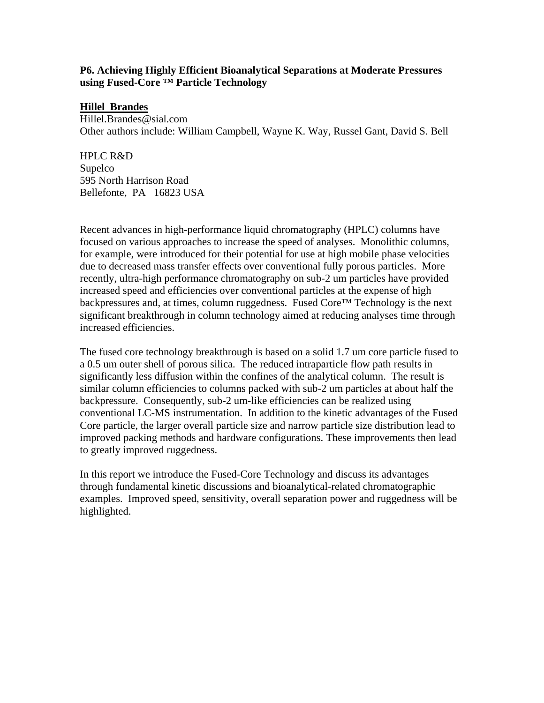# **P6. Achieving Highly Efficient Bioanalytical Separations at Moderate Pressures using Fused-Core ™ Particle Technology**

## **Hillel Brandes**

Hillel.Brandes@sial.com Other authors include: William Campbell, Wayne K. Way, Russel Gant, David S. Bell

HPLC R&D Supelco 595 North Harrison Road Bellefonte, PA 16823 USA

Recent advances in high-performance liquid chromatography (HPLC) columns have focused on various approaches to increase the speed of analyses. Monolithic columns, for example, were introduced for their potential for use at high mobile phase velocities due to decreased mass transfer effects over conventional fully porous particles. More recently, ultra-high performance chromatography on sub-2 um particles have provided increased speed and efficiencies over conventional particles at the expense of high backpressures and, at times, column ruggedness. Fused Core™ Technology is the next significant breakthrough in column technology aimed at reducing analyses time through increased efficiencies.

The fused core technology breakthrough is based on a solid 1.7 um core particle fused to a 0.5 um outer shell of porous silica. The reduced intraparticle flow path results in significantly less diffusion within the confines of the analytical column. The result is similar column efficiencies to columns packed with sub-2 um particles at about half the backpressure. Consequently, sub-2 um-like efficiencies can be realized using conventional LC-MS instrumentation. In addition to the kinetic advantages of the Fused Core particle, the larger overall particle size and narrow particle size distribution lead to improved packing methods and hardware configurations. These improvements then lead to greatly improved ruggedness.

In this report we introduce the Fused-Core Technology and discuss its advantages through fundamental kinetic discussions and bioanalytical-related chromatographic examples. Improved speed, sensitivity, overall separation power and ruggedness will be highlighted.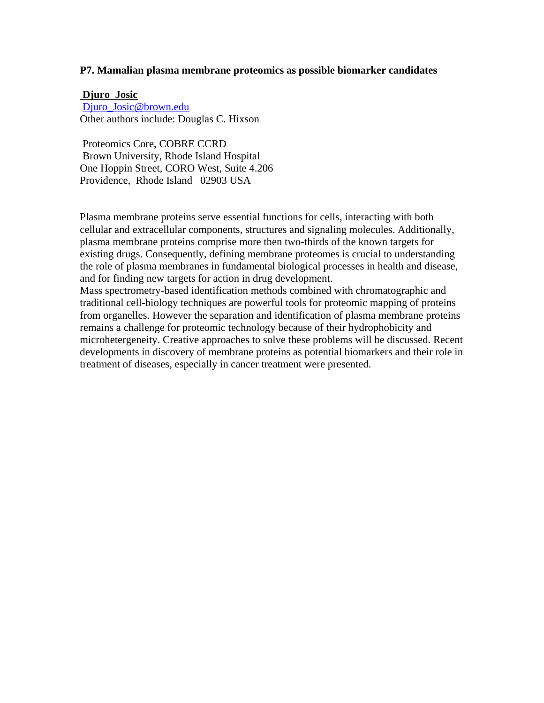#### **P7. Mamalian plasma membrane proteomics as possible biomarker candidates**

#### **Djuro Josic**

[Djuro\\_Josic@brown.edu](mailto:Djuro_Josic@brown.edu) Other authors include: Douglas C. Hixson

 Proteomics Core, COBRE CCRD Brown University, Rhode Island Hospital One Hoppin Street, CORO West, Suite 4.206 Providence, Rhode Island 02903 USA

Plasma membrane proteins serve essential functions for cells, interacting with both cellular and extracellular components, structures and signaling molecules. Additionally, plasma membrane proteins comprise more then two-thirds of the known targets for existing drugs. Consequently, defining membrane proteomes is crucial to understanding the role of plasma membranes in fundamental biological processes in health and disease, and for finding new targets for action in drug development.

Mass spectrometry-based identification methods combined with chromatographic and traditional cell-biology techniques are powerful tools for proteomic mapping of proteins from organelles. However the separation and identification of plasma membrane proteins remains a challenge for proteomic technology because of their hydrophobicity and microhetergeneity. Creative approaches to solve these problems will be discussed. Recent developments in discovery of membrane proteins as potential biomarkers and their role in treatment of diseases, especially in cancer treatment were presented.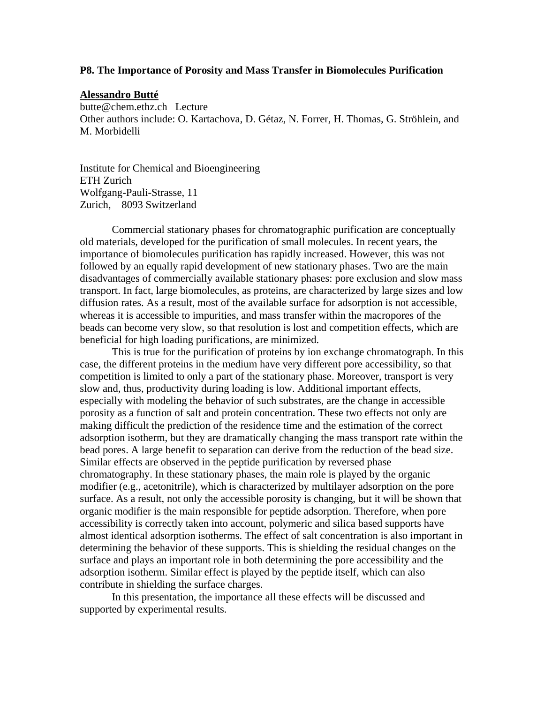#### **P8. The Importance of Porosity and Mass Transfer in Biomolecules Purification**

#### **Alessandro Butté**

butte@chem.ethz.ch Lecture Other authors include: O. Kartachova, D. Gétaz, N. Forrer, H. Thomas, G. Ströhlein, and M. Morbidelli

Institute for Chemical and Bioengineering ETH Zurich Wolfgang-Pauli-Strasse, 11 Zurich, 8093 Switzerland

Commercial stationary phases for chromatographic purification are conceptually old materials, developed for the purification of small molecules. In recent years, the importance of biomolecules purification has rapidly increased. However, this was not followed by an equally rapid development of new stationary phases. Two are the main disadvantages of commercially available stationary phases: pore exclusion and slow mass transport. In fact, large biomolecules, as proteins, are characterized by large sizes and low diffusion rates. As a result, most of the available surface for adsorption is not accessible, whereas it is accessible to impurities, and mass transfer within the macropores of the beads can become very slow, so that resolution is lost and competition effects, which are beneficial for high loading purifications, are minimized.

This is true for the purification of proteins by ion exchange chromatograph. In this case, the different proteins in the medium have very different pore accessibility, so that competition is limited to only a part of the stationary phase. Moreover, transport is very slow and, thus, productivity during loading is low. Additional important effects, especially with modeling the behavior of such substrates, are the change in accessible porosity as a function of salt and protein concentration. These two effects not only are making difficult the prediction of the residence time and the estimation of the correct adsorption isotherm, but they are dramatically changing the mass transport rate within the bead pores. A large benefit to separation can derive from the reduction of the bead size. Similar effects are observed in the peptide purification by reversed phase chromatography. In these stationary phases, the main role is played by the organic modifier (e.g., acetonitrile), which is characterized by multilayer adsorption on the pore surface. As a result, not only the accessible porosity is changing, but it will be shown that organic modifier is the main responsible for peptide adsorption. Therefore, when pore accessibility is correctly taken into account, polymeric and silica based supports have almost identical adsorption isotherms. The effect of salt concentration is also important in determining the behavior of these supports. This is shielding the residual changes on the surface and plays an important role in both determining the pore accessibility and the adsorption isotherm. Similar effect is played by the peptide itself, which can also contribute in shielding the surface charges.

In this presentation, the importance all these effects will be discussed and supported by experimental results.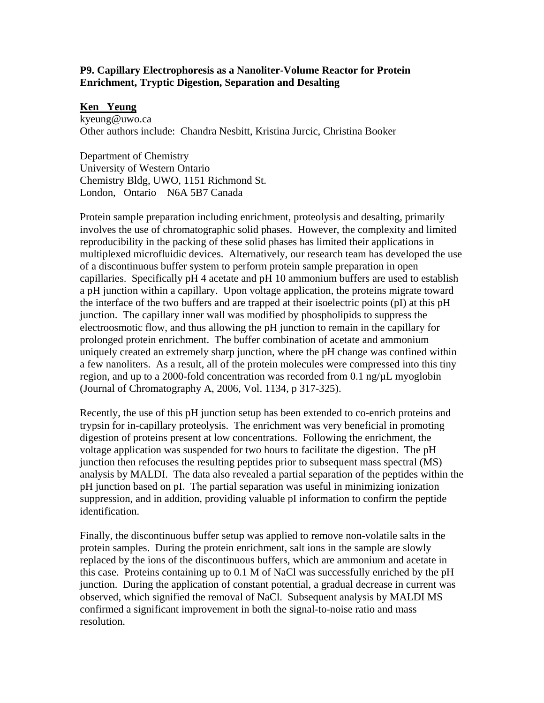# **P9. Capillary Electrophoresis as a Nanoliter-Volume Reactor for Protein Enrichment, Tryptic Digestion, Separation and Desalting**

### **Ken Yeung**

kyeung@uwo.ca Other authors include: Chandra Nesbitt, Kristina Jurcic, Christina Booker

Department of Chemistry University of Western Ontario Chemistry Bldg, UWO, 1151 Richmond St. London, Ontario N6A 5B7 Canada

Protein sample preparation including enrichment, proteolysis and desalting, primarily involves the use of chromatographic solid phases. However, the complexity and limited reproducibility in the packing of these solid phases has limited their applications in multiplexed microfluidic devices. Alternatively, our research team has developed the use of a discontinuous buffer system to perform protein sample preparation in open capillaries. Specifically pH 4 acetate and pH 10 ammonium buffers are used to establish a pH junction within a capillary. Upon voltage application, the proteins migrate toward the interface of the two buffers and are trapped at their isoelectric points (pI) at this pH junction. The capillary inner wall was modified by phospholipids to suppress the electroosmotic flow, and thus allowing the pH junction to remain in the capillary for prolonged protein enrichment. The buffer combination of acetate and ammonium uniquely created an extremely sharp junction, where the pH change was confined within a few nanoliters. As a result, all of the protein molecules were compressed into this tiny region, and up to a 2000-fold concentration was recorded from 0.1 ng/µL myoglobin (Journal of Chromatography A, 2006, Vol. 1134, p 317-325).

Recently, the use of this pH junction setup has been extended to co-enrich proteins and trypsin for in-capillary proteolysis. The enrichment was very beneficial in promoting digestion of proteins present at low concentrations. Following the enrichment, the voltage application was suspended for two hours to facilitate the digestion. The pH junction then refocuses the resulting peptides prior to subsequent mass spectral (MS) analysis by MALDI. The data also revealed a partial separation of the peptides within the pH junction based on pI. The partial separation was useful in minimizing ionization suppression, and in addition, providing valuable pI information to confirm the peptide identification.

Finally, the discontinuous buffer setup was applied to remove non-volatile salts in the protein samples. During the protein enrichment, salt ions in the sample are slowly replaced by the ions of the discontinuous buffers, which are ammonium and acetate in this case. Proteins containing up to 0.1 M of NaCl was successfully enriched by the pH junction. During the application of constant potential, a gradual decrease in current was observed, which signified the removal of NaCl. Subsequent analysis by MALDI MS confirmed a significant improvement in both the signal-to-noise ratio and mass resolution.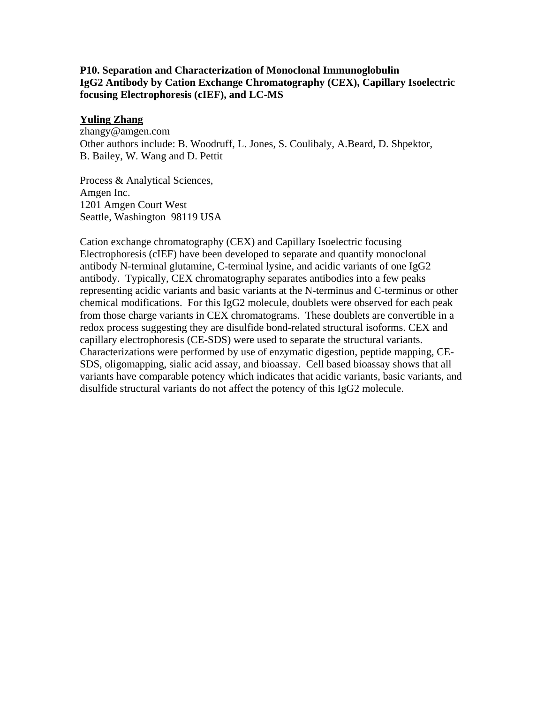# **P10. Separation and Characterization of Monoclonal Immunoglobulin IgG2 Antibody by Cation Exchange Chromatography (CEX), Capillary Isoelectric focusing Electrophoresis (cIEF), and LC-MS**

# **Yuling Zhang**

zhangy@amgen.com Other authors include: B. Woodruff, L. Jones, S. Coulibaly, A.Beard, D. Shpektor, B. Bailey, W. Wang and D. Pettit

Process & Analytical Sciences, Amgen Inc. 1201 Amgen Court West Seattle, Washington 98119 USA

Cation exchange chromatography (CEX) and Capillary Isoelectric focusing Electrophoresis (cIEF) have been developed to separate and quantify monoclonal antibody N-terminal glutamine, C-terminal lysine, and acidic variants of one IgG2 antibody. Typically, CEX chromatography separates antibodies into a few peaks representing acidic variants and basic variants at the N-terminus and C-terminus or other chemical modifications. For this IgG2 molecule, doublets were observed for each peak from those charge variants in CEX chromatograms. These doublets are convertible in a redox process suggesting they are disulfide bond-related structural isoforms. CEX and capillary electrophoresis (CE-SDS) were used to separate the structural variants. Characterizations were performed by use of enzymatic digestion, peptide mapping, CE-SDS, oligomapping, sialic acid assay, and bioassay. Cell based bioassay shows that all variants have comparable potency which indicates that acidic variants, basic variants, and disulfide structural variants do not affect the potency of this IgG2 molecule.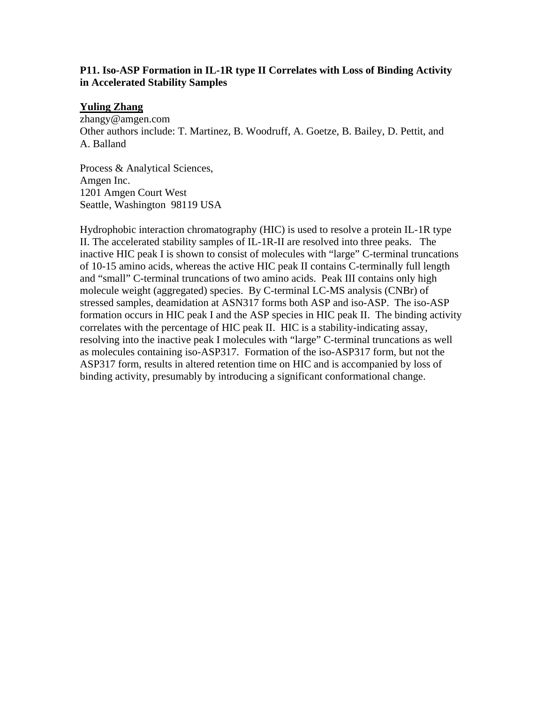# **P11. Iso-ASP Formation in IL-1R type II Correlates with Loss of Binding Activity in Accelerated Stability Samples**

## **Yuling Zhang**

zhangy@amgen.com Other authors include: T. Martinez, B. Woodruff, A. Goetze, B. Bailey, D. Pettit, and A. Balland

Process & Analytical Sciences, Amgen Inc. 1201 Amgen Court West Seattle, Washington 98119 USA

Hydrophobic interaction chromatography (HIC) is used to resolve a protein IL-1R type II. The accelerated stability samples of IL-1R-II are resolved into three peaks. The inactive HIC peak I is shown to consist of molecules with "large" C-terminal truncations of 10-15 amino acids, whereas the active HIC peak II contains C-terminally full length and "small" C-terminal truncations of two amino acids. Peak III contains only high molecule weight (aggregated) species. By C-terminal LC-MS analysis (CNBr) of stressed samples, deamidation at ASN317 forms both ASP and iso-ASP. The iso-ASP formation occurs in HIC peak I and the ASP species in HIC peak II. The binding activity correlates with the percentage of HIC peak II. HIC is a stability-indicating assay, resolving into the inactive peak I molecules with "large" C-terminal truncations as well as molecules containing iso-ASP317. Formation of the iso-ASP317 form, but not the ASP317 form, results in altered retention time on HIC and is accompanied by loss of binding activity, presumably by introducing a significant conformational change.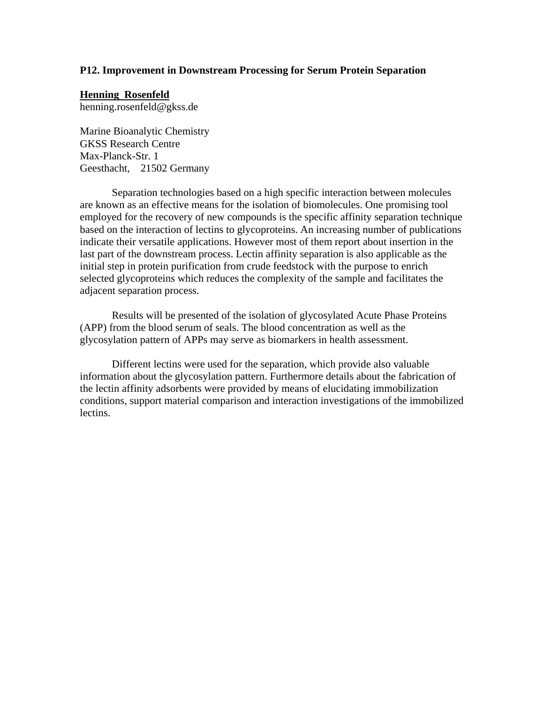#### **P12. Improvement in Downstream Processing for Serum Protein Separation**

# **Henning Rosenfeld**

henning.rosenfeld@gkss.de

Marine Bioanalytic Chemistry GKSS Research Centre Max-Planck-Str. 1 Geesthacht, 21502 Germany

Separation technologies based on a high specific interaction between molecules are known as an effective means for the isolation of biomolecules. One promising tool employed for the recovery of new compounds is the specific affinity separation technique based on the interaction of lectins to glycoproteins. An increasing number of publications indicate their versatile applications. However most of them report about insertion in the last part of the downstream process. Lectin affinity separation is also applicable as the initial step in protein purification from crude feedstock with the purpose to enrich selected glycoproteins which reduces the complexity of the sample and facilitates the adjacent separation process.

Results will be presented of the isolation of glycosylated Acute Phase Proteins (APP) from the blood serum of seals. The blood concentration as well as the glycosylation pattern of APPs may serve as biomarkers in health assessment.

Different lectins were used for the separation, which provide also valuable information about the glycosylation pattern. Furthermore details about the fabrication of the lectin affinity adsorbents were provided by means of elucidating immobilization conditions, support material comparison and interaction investigations of the immobilized lectins.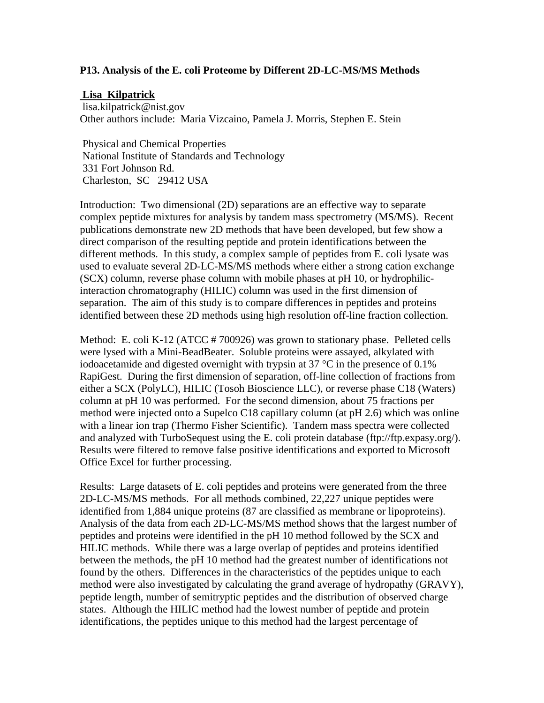## **P13. Analysis of the E. coli Proteome by Different 2D-LC-MS/MS Methods**

### **Lisa Kilpatrick**

 lisa.kilpatrick@nist.gov Other authors include: Maria Vizcaino, Pamela J. Morris, Stephen E. Stein

 Physical and Chemical Properties National Institute of Standards and Technology 331 Fort Johnson Rd. Charleston, SC 29412 USA

Introduction: Two dimensional (2D) separations are an effective way to separate complex peptide mixtures for analysis by tandem mass spectrometry (MS/MS). Recent publications demonstrate new 2D methods that have been developed, but few show a direct comparison of the resulting peptide and protein identifications between the different methods. In this study, a complex sample of peptides from E. coli lysate was used to evaluate several 2D-LC-MS/MS methods where either a strong cation exchange (SCX) column, reverse phase column with mobile phases at pH 10, or hydrophilicinteraction chromatography (HILIC) column was used in the first dimension of separation. The aim of this study is to compare differences in peptides and proteins identified between these 2D methods using high resolution off-line fraction collection.

Method: E. coli K-12 (ATCC # 700926) was grown to stationary phase. Pelleted cells were lysed with a Mini-BeadBeater. Soluble proteins were assayed, alkylated with iodoacetamide and digested overnight with trypsin at 37  $\degree$ C in the presence of 0.1% RapiGest. During the first dimension of separation, off-line collection of fractions from either a SCX (PolyLC), HILIC (Tosoh Bioscience LLC), or reverse phase C18 (Waters) column at pH 10 was performed. For the second dimension, about 75 fractions per method were injected onto a Supelco C18 capillary column (at pH 2.6) which was online with a linear ion trap (Thermo Fisher Scientific). Tandem mass spectra were collected and analyzed with TurboSequest using the E. coli protein database (ftp://ftp.expasy.org/). Results were filtered to remove false positive identifications and exported to Microsoft Office Excel for further processing.

Results: Large datasets of E. coli peptides and proteins were generated from the three 2D-LC-MS/MS methods. For all methods combined, 22,227 unique peptides were identified from 1,884 unique proteins (87 are classified as membrane or lipoproteins). Analysis of the data from each 2D-LC-MS/MS method shows that the largest number of peptides and proteins were identified in the pH 10 method followed by the SCX and HILIC methods. While there was a large overlap of peptides and proteins identified between the methods, the pH 10 method had the greatest number of identifications not found by the others. Differences in the characteristics of the peptides unique to each method were also investigated by calculating the grand average of hydropathy (GRAVY), peptide length, number of semitryptic peptides and the distribution of observed charge states. Although the HILIC method had the lowest number of peptide and protein identifications, the peptides unique to this method had the largest percentage of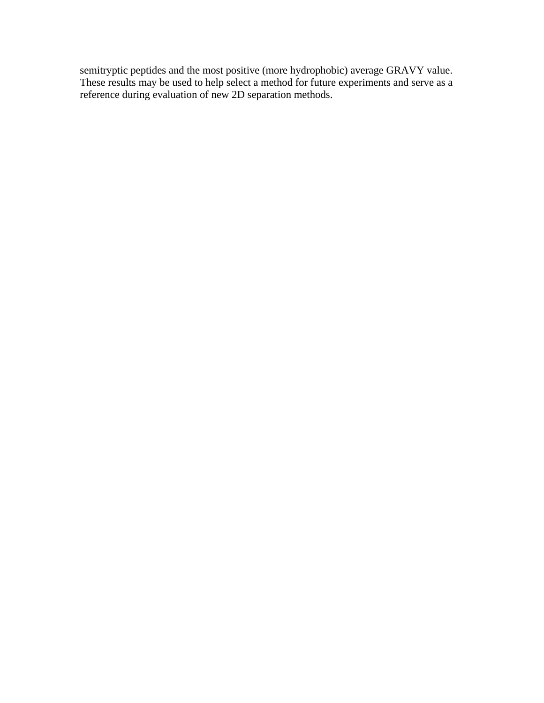semitryptic peptides and the most positive (more hydrophobic) average GRAVY value. These results may be used to help select a method for future experiments and serve as a reference during evaluation of new 2D separation methods.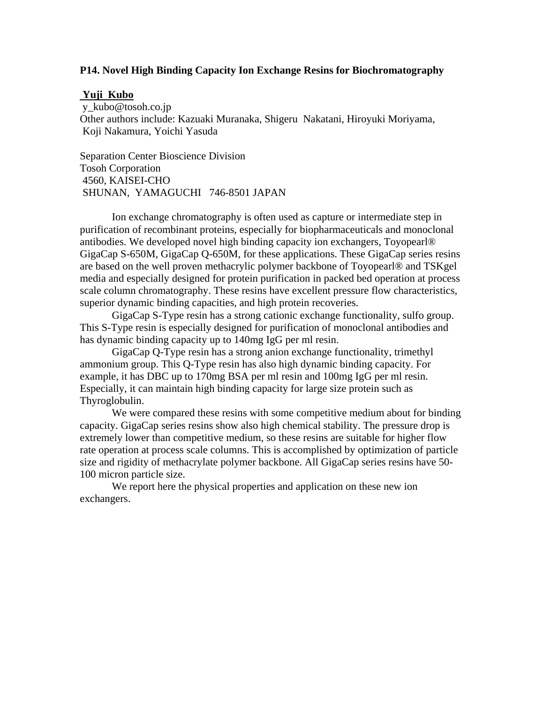#### **P14. Novel High Binding Capacity Ion Exchange Resins for Biochromatography**

#### **Yuji Kubo**

 y\_kubo@tosoh.co.jp Other authors include: Kazuaki Muranaka, Shigeru Nakatani, Hiroyuki Moriyama, Koji Nakamura, Yoichi Yasuda

Separation Center Bioscience Division Tosoh Corporation 4560, KAISEI-CHO SHUNAN, YAMAGUCHI 746-8501 JAPAN

Ion exchange chromatography is often used as capture or intermediate step in purification of recombinant proteins, especially for biopharmaceuticals and monoclonal antibodies. We developed novel high binding capacity ion exchangers, Toyopearl® GigaCap S-650M, GigaCap Q-650M, for these applications. These GigaCap series resins are based on the well proven methacrylic polymer backbone of Toyopearl® and TSKgel media and especially designed for protein purification in packed bed operation at process scale column chromatography. These resins have excellent pressure flow characteristics, superior dynamic binding capacities, and high protein recoveries.

GigaCap S-Type resin has a strong cationic exchange functionality, sulfo group. This S-Type resin is especially designed for purification of monoclonal antibodies and has dynamic binding capacity up to 140mg IgG per ml resin.

GigaCap Q-Type resin has a strong anion exchange functionality, trimethyl ammonium group. This Q-Type resin has also high dynamic binding capacity. For example, it has DBC up to 170mg BSA per ml resin and 100mg IgG per ml resin. Especially, it can maintain high binding capacity for large size protein such as Thyroglobulin.

We were compared these resins with some competitive medium about for binding capacity. GigaCap series resins show also high chemical stability. The pressure drop is extremely lower than competitive medium, so these resins are suitable for higher flow rate operation at process scale columns. This is accomplished by optimization of particle size and rigidity of methacrylate polymer backbone. All GigaCap series resins have 50- 100 micron particle size.

We report here the physical properties and application on these new ion exchangers.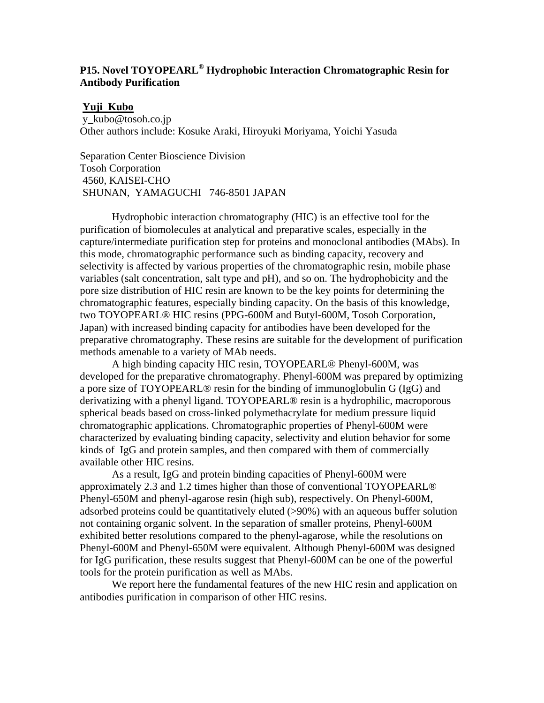# **P15. Novel TOYOPEARL® Hydrophobic Interaction Chromatographic Resin for Antibody Purification**

#### **Yuji Kubo**

 y\_kubo@tosoh.co.jp Other authors include: Kosuke Araki, Hiroyuki Moriyama, Yoichi Yasuda

Separation Center Bioscience Division Tosoh Corporation 4560, KAISEI-CHO SHUNAN, YAMAGUCHI 746-8501 JAPAN

 Hydrophobic interaction chromatography (HIC) is an effective tool for the purification of biomolecules at analytical and preparative scales, especially in the capture/intermediate purification step for proteins and monoclonal antibodies (MAbs). In this mode, chromatographic performance such as binding capacity, recovery and selectivity is affected by various properties of the chromatographic resin, mobile phase variables (salt concentration, salt type and pH), and so on. The hydrophobicity and the pore size distribution of HIC resin are known to be the key points for determining the chromatographic features, especially binding capacity. On the basis of this knowledge, two TOYOPEARL® HIC resins (PPG-600M and Butyl-600M, Tosoh Corporation, Japan) with increased binding capacity for antibodies have been developed for the preparative chromatography. These resins are suitable for the development of purification methods amenable to a variety of MAb needs.

A high binding capacity HIC resin, TOYOPEARL® Phenyl-600M, was developed for the preparative chromatography. Phenyl-600M was prepared by optimizing a pore size of TOYOPEARL® resin for the binding of immunoglobulin G (IgG) and derivatizing with a phenyl ligand. TOYOPEARL® resin is a hydrophilic, macroporous spherical beads based on cross-linked polymethacrylate for medium pressure liquid chromatographic applications. Chromatographic properties of Phenyl-600M were characterized by evaluating binding capacity, selectivity and elution behavior for some kinds of IgG and protein samples, and then compared with them of commercially available other HIC resins.

As a result, IgG and protein binding capacities of Phenyl-600M were approximately 2.3 and 1.2 times higher than those of conventional TOYOPEARL® Phenyl-650M and phenyl-agarose resin (high sub), respectively. On Phenyl-600M, adsorbed proteins could be quantitatively eluted (>90%) with an aqueous buffer solution not containing organic solvent. In the separation of smaller proteins, Phenyl-600M exhibited better resolutions compared to the phenyl-agarose, while the resolutions on Phenyl-600M and Phenyl-650M were equivalent. Although Phenyl-600M was designed for IgG purification, these results suggest that Phenyl-600M can be one of the powerful tools for the protein purification as well as MAbs.

We report here the fundamental features of the new HIC resin and application on antibodies purification in comparison of other HIC resins.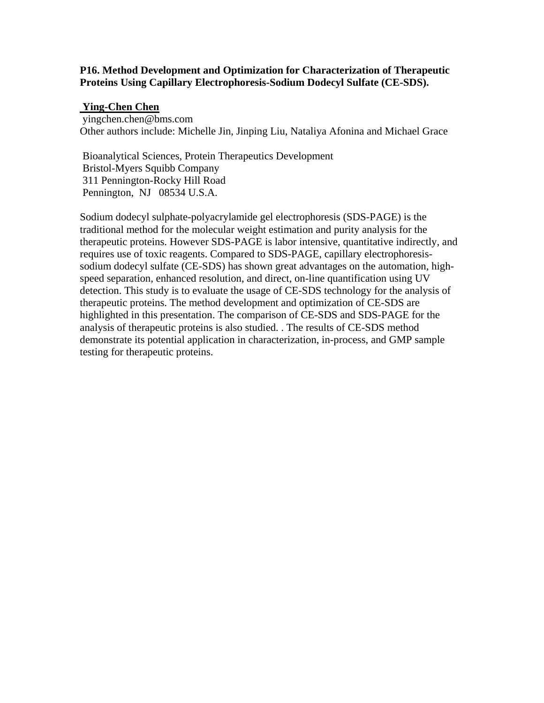## **P16. Method Development and Optimization for Characterization of Therapeutic Proteins Using Capillary Electrophoresis-Sodium Dodecyl Sulfate (CE-SDS).**

# **Ying-Chen Chen**

 yingchen.chen@bms.com Other authors include: Michelle Jin, Jinping Liu, Nataliya Afonina and Michael Grace

 Bioanalytical Sciences, Protein Therapeutics Development Bristol-Myers Squibb Company 311 Pennington-Rocky Hill Road Pennington, NJ 08534 U.S.A.

Sodium dodecyl sulphate-polyacrylamide gel electrophoresis (SDS-PAGE) is the traditional method for the molecular weight estimation and purity analysis for the therapeutic proteins. However SDS-PAGE is labor intensive, quantitative indirectly, and requires use of toxic reagents. Compared to SDS-PAGE, capillary electrophoresissodium dodecyl sulfate (CE-SDS) has shown great advantages on the automation, highspeed separation, enhanced resolution, and direct, on-line quantification using UV detection. This study is to evaluate the usage of CE-SDS technology for the analysis of therapeutic proteins. The method development and optimization of CE-SDS are highlighted in this presentation. The comparison of CE-SDS and SDS-PAGE for the analysis of therapeutic proteins is also studied. . The results of CE-SDS method demonstrate its potential application in characterization, in-process, and GMP sample testing for therapeutic proteins.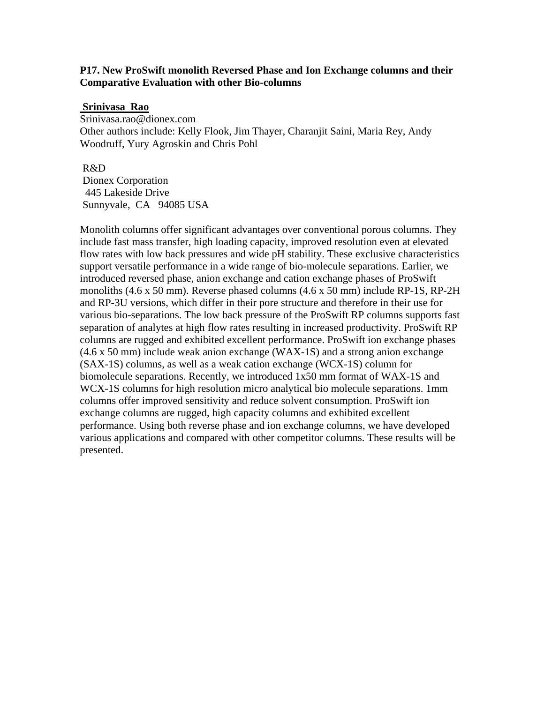### **P17. New ProSwift monolith Reversed Phase and Ion Exchange columns and their Comparative Evaluation with other Bio-columns**

#### **Srinivasa Rao**

Srinivasa.rao@dionex.com Other authors include: Kelly Flook, Jim Thayer, Charanjit Saini, Maria Rey, Andy Woodruff, Yury Agroskin and Chris Pohl

#### R&D

 Dionex Corporation 445 Lakeside Drive Sunnyvale, CA 94085 USA

Monolith columns offer significant advantages over conventional porous columns. They include fast mass transfer, high loading capacity, improved resolution even at elevated flow rates with low back pressures and wide pH stability. These exclusive characteristics support versatile performance in a wide range of bio-molecule separations. Earlier, we introduced reversed phase, anion exchange and cation exchange phases of ProSwift monoliths (4.6 x 50 mm). Reverse phased columns (4.6 x 50 mm) include RP-1S, RP-2H and RP-3U versions, which differ in their pore structure and therefore in their use for various bio-separations. The low back pressure of the ProSwift RP columns supports fast separation of analytes at high flow rates resulting in increased productivity. ProSwift RP columns are rugged and exhibited excellent performance. ProSwift ion exchange phases (4.6 x 50 mm) include weak anion exchange (WAX-1S) and a strong anion exchange (SAX-1S) columns, as well as a weak cation exchange (WCX-1S) column for biomolecule separations. Recently, we introduced 1x50 mm format of WAX-1S and WCX-1S columns for high resolution micro analytical bio molecule separations. 1mm columns offer improved sensitivity and reduce solvent consumption. ProSwift ion exchange columns are rugged, high capacity columns and exhibited excellent performance. Using both reverse phase and ion exchange columns, we have developed various applications and compared with other competitor columns. These results will be presented.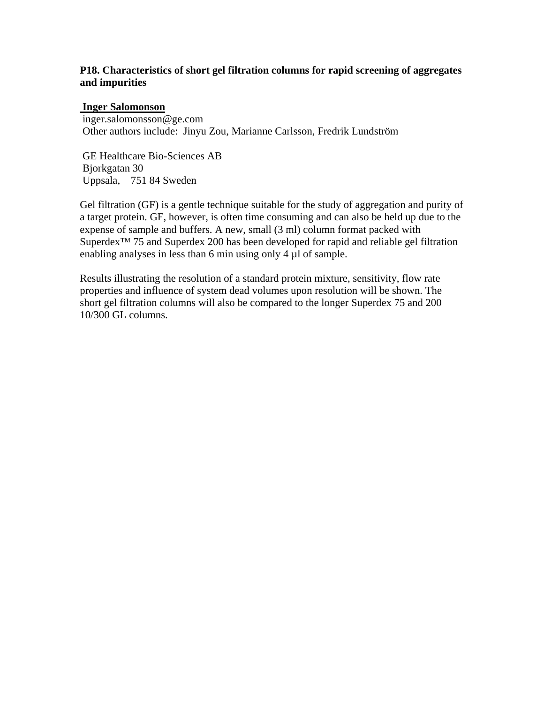# **P18. Characteristics of short gel filtration columns for rapid screening of aggregates and impurities**

# **Inger Salomonson**

 inger.salomonsson@ge.com Other authors include: Jinyu Zou, Marianne Carlsson, Fredrik Lundström

 GE Healthcare Bio-Sciences AB Bjorkgatan 30 Uppsala, 751 84 Sweden

Gel filtration (GF) is a gentle technique suitable for the study of aggregation and purity of a target protein. GF, however, is often time consuming and can also be held up due to the expense of sample and buffers. A new, small (3 ml) column format packed with Superdex<sup>™</sup> 75 and Superdex 200 has been developed for rapid and reliable gel filtration enabling analyses in less than 6 min using only 4  $\mu$ l of sample.

Results illustrating the resolution of a standard protein mixture, sensitivity, flow rate properties and influence of system dead volumes upon resolution will be shown. The short gel filtration columns will also be compared to the longer Superdex 75 and 200 10/300 GL columns.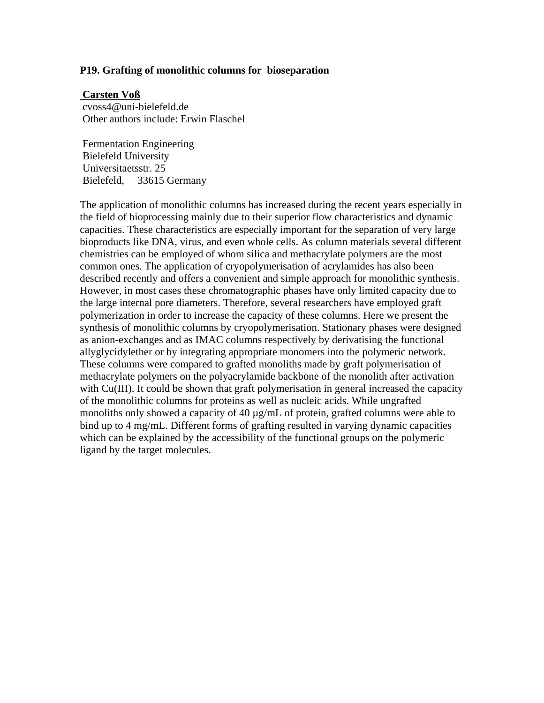### **P19. Grafting of monolithic columns for bioseparation**

#### **Carsten Voß**

 cvoss4@uni-bielefeld.de Other authors include: Erwin Flaschel

 Fermentation Engineering Bielefeld University Universitaetsstr. 25 Bielefeld, 33615 Germany

The application of monolithic columns has increased during the recent years especially in the field of bioprocessing mainly due to their superior flow characteristics and dynamic capacities. These characteristics are especially important for the separation of very large bioproducts like DNA, virus, and even whole cells. As column materials several different chemistries can be employed of whom silica and methacrylate polymers are the most common ones. The application of cryopolymerisation of acrylamides has also been described recently and offers a convenient and simple approach for monolithic synthesis. However, in most cases these chromatographic phases have only limited capacity due to the large internal pore diameters. Therefore, several researchers have employed graft polymerization in order to increase the capacity of these columns. Here we present the synthesis of monolithic columns by cryopolymerisation. Stationary phases were designed as anion-exchanges and as IMAC columns respectively by derivatising the functional allyglycidylether or by integrating appropriate monomers into the polymeric network. These columns were compared to grafted monoliths made by graft polymerisation of methacrylate polymers on the polyacrylamide backbone of the monolith after activation with Cu(III). It could be shown that graft polymerisation in general increased the capacity of the monolithic columns for proteins as well as nucleic acids. While ungrafted monoliths only showed a capacity of 40 µg/mL of protein, grafted columns were able to bind up to 4 mg/mL. Different forms of grafting resulted in varying dynamic capacities which can be explained by the accessibility of the functional groups on the polymeric ligand by the target molecules.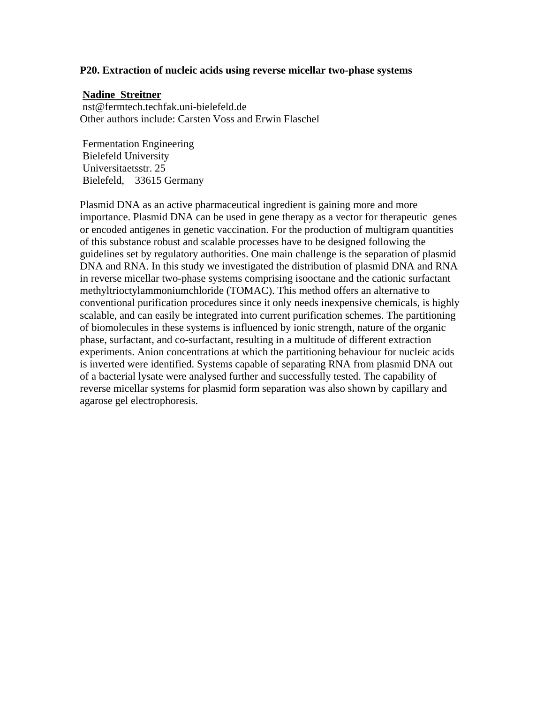#### **P20. Extraction of nucleic acids using reverse micellar two-phase systems**

#### **Nadine Streitner**

 nst@fermtech.techfak.uni-bielefeld.de Other authors include: Carsten Voss and Erwin Flaschel

 Fermentation Engineering Bielefeld University Universitaetsstr. 25 Bielefeld, 33615 Germany

Plasmid DNA as an active pharmaceutical ingredient is gaining more and more importance. Plasmid DNA can be used in gene therapy as a vector for therapeutic genes or encoded antigenes in genetic vaccination. For the production of multigram quantities of this substance robust and scalable processes have to be designed following the guidelines set by regulatory authorities. One main challenge is the separation of plasmid DNA and RNA. In this study we investigated the distribution of plasmid DNA and RNA in reverse micellar two-phase systems comprising isooctane and the cationic surfactant methyltrioctylammoniumchloride (TOMAC). This method offers an alternative to conventional purification procedures since it only needs inexpensive chemicals, is highly scalable, and can easily be integrated into current purification schemes. The partitioning of biomolecules in these systems is influenced by ionic strength, nature of the organic phase, surfactant, and co-surfactant, resulting in a multitude of different extraction experiments. Anion concentrations at which the partitioning behaviour for nucleic acids is inverted were identified. Systems capable of separating RNA from plasmid DNA out of a bacterial lysate were analysed further and successfully tested. The capability of reverse micellar systems for plasmid form separation was also shown by capillary and agarose gel electrophoresis.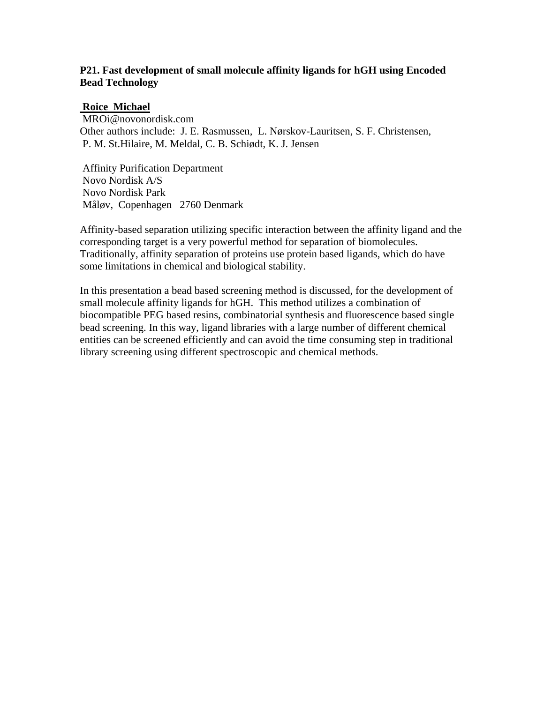# **P21. Fast development of small molecule affinity ligands for hGH using Encoded Bead Technology**

# **Roice Michael**

 MROi@novonordisk.com Other authors include: J. E. Rasmussen, L. Nørskov-Lauritsen, S. F. Christensen, P. M. St.Hilaire, M. Meldal, C. B. Schiødt, K. J. Jensen

 Affinity Purification Department Novo Nordisk A/S Novo Nordisk Park Måløv, Copenhagen 2760 Denmark

Affinity-based separation utilizing specific interaction between the affinity ligand and the corresponding target is a very powerful method for separation of biomolecules. Traditionally, affinity separation of proteins use protein based ligands, which do have some limitations in chemical and biological stability.

In this presentation a bead based screening method is discussed, for the development of small molecule affinity ligands for hGH. This method utilizes a combination of biocompatible PEG based resins, combinatorial synthesis and fluorescence based single bead screening. In this way, ligand libraries with a large number of different chemical entities can be screened efficiently and can avoid the time consuming step in traditional library screening using different spectroscopic and chemical methods.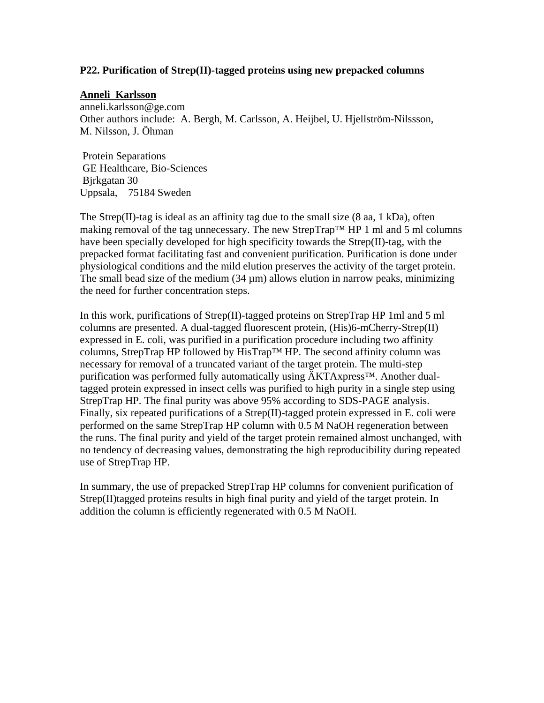## **P22. Purification of Strep(II)-tagged proteins using new prepacked columns**

#### **Anneli Karlsson**

anneli.karlsson@ge.com Other authors include: A. Bergh, M. Carlsson, A. Heijbel, U. Hjellström-Nilssson, M. Nilsson, J. Öhman

 Protein Separations GE Healthcare, Bio-Sciences Bjrkgatan 30 Uppsala, 75184 Sweden

The Strep(II)-tag is ideal as an affinity tag due to the small size  $(8 \text{ aa}, 1 \text{ kDa})$ , often making removal of the tag unnecessary. The new StrepTrap™ HP 1 ml and 5 ml columns have been specially developed for high specificity towards the Strep(II)-tag, with the prepacked format facilitating fast and convenient purification. Purification is done under physiological conditions and the mild elution preserves the activity of the target protein. The small bead size of the medium  $(34 \mu m)$  allows elution in narrow peaks, minimizing the need for further concentration steps.

In this work, purifications of Strep(II)-tagged proteins on StrepTrap HP 1ml and 5 ml columns are presented. A dual-tagged fluorescent protein, (His)6-mCherry-Strep(II) expressed in E. coli, was purified in a purification procedure including two affinity columns, StrepTrap HP followed by HisTrap™ HP. The second affinity column was necessary for removal of a truncated variant of the target protein. The multi-step purification was performed fully automatically using ÄKTAxpress™. Another dualtagged protein expressed in insect cells was purified to high purity in a single step using StrepTrap HP. The final purity was above 95% according to SDS-PAGE analysis. Finally, six repeated purifications of a Strep(II)-tagged protein expressed in E. coli were performed on the same StrepTrap HP column with 0.5 M NaOH regeneration between the runs. The final purity and yield of the target protein remained almost unchanged, with no tendency of decreasing values, demonstrating the high reproducibility during repeated use of StrepTrap HP.

In summary, the use of prepacked StrepTrap HP columns for convenient purification of Strep(II)tagged proteins results in high final purity and yield of the target protein. In addition the column is efficiently regenerated with 0.5 M NaOH.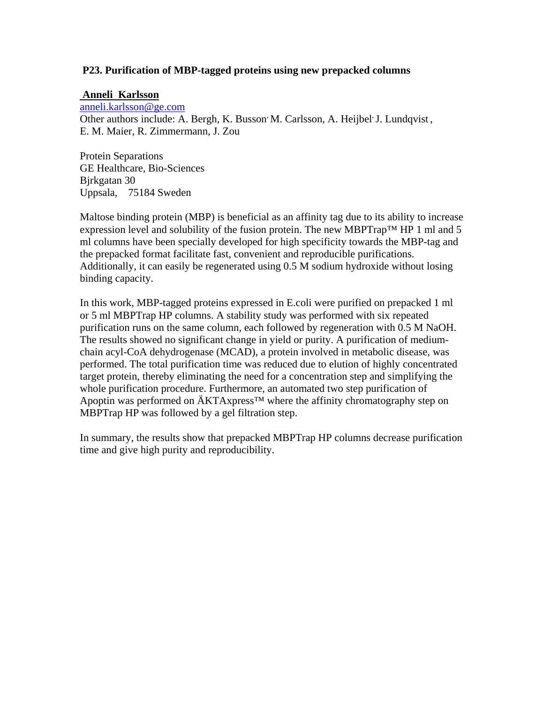# **P23. Purification of MBP-tagged proteins using new prepacked columns**

# **Anneli Karlsson**

[anneli.karlsson@ge.com](mailto:anneli.karlsson@ge.com) Other authors include: A. Bergh, K. Busson M. Carlsson, A. Heijbel J. Lundqvist, E. M. Maier, R. Zimmermann, J. Zou

Protein Separations GE Healthcare, Bio-Sciences Bjrkgatan 30 Uppsala, 75184 Sweden

Maltose binding protein (MBP) is beneficial as an affinity tag due to its ability to increase expression level and solubility of the fusion protein. The new MBPTrap<sup>TM</sup> HP 1 ml and 5 ml columns have been specially developed for high specificity towards the MBP-tag and the prepacked format facilitate fast, convenient and reproducible purifications. Additionally, it can easily be regenerated using 0.5 M sodium hydroxide without losing binding capacity.

In this work, MBP-tagged proteins expressed in E.coli were purified on prepacked 1 ml or 5 ml MBPTrap HP columns. A stability study was performed with six repeated purification runs on the same column, each followed by regeneration with 0.5 M NaOH. The results showed no significant change in yield or purity. A purification of mediumchain acyl-CoA dehydrogenase (MCAD), a protein involved in metabolic disease, was performed. The total purification time was reduced due to elution of highly concentrated target protein, thereby eliminating the need for a concentration step and simplifying the whole purification procedure. Furthermore, an automated two step purification of Apoptin was performed on ÄKTAxpress<sup>™</sup> where the affinity chromatography step on MBPTrap HP was followed by a gel filtration step.

In summary, the results show that prepacked MBPTrap HP columns decrease purification time and give high purity and reproducibility.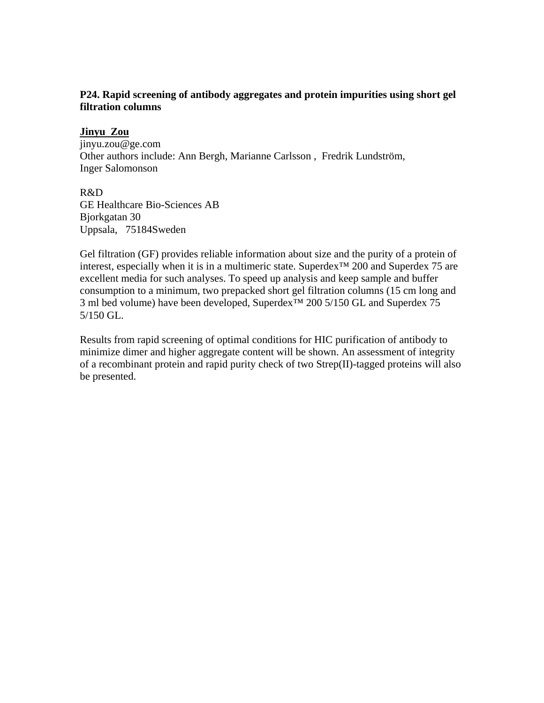# **P24. Rapid screening of antibody aggregates and protein impurities using short gel filtration columns**

## **Jinyu Zou**

jinyu.zou@ge.com Other authors include: Ann Bergh, Marianne Carlsson , Fredrik Lundström, Inger Salomonson

#### R&D

GE Healthcare Bio-Sciences AB Bjorkgatan 30 Uppsala, 75184Sweden

Gel filtration (GF) provides reliable information about size and the purity of a protein of interest, especially when it is in a multimeric state. Superdex™ 200 and Superdex 75 are excellent media for such analyses. To speed up analysis and keep sample and buffer consumption to a minimum, two prepacked short gel filtration columns (15 cm long and 3 ml bed volume) have been developed, Superdex™ 200 5/150 GL and Superdex 75 5/150 GL.

Results from rapid screening of optimal conditions for HIC purification of antibody to minimize dimer and higher aggregate content will be shown. An assessment of integrity of a recombinant protein and rapid purity check of two Strep(II)-tagged proteins will also be presented.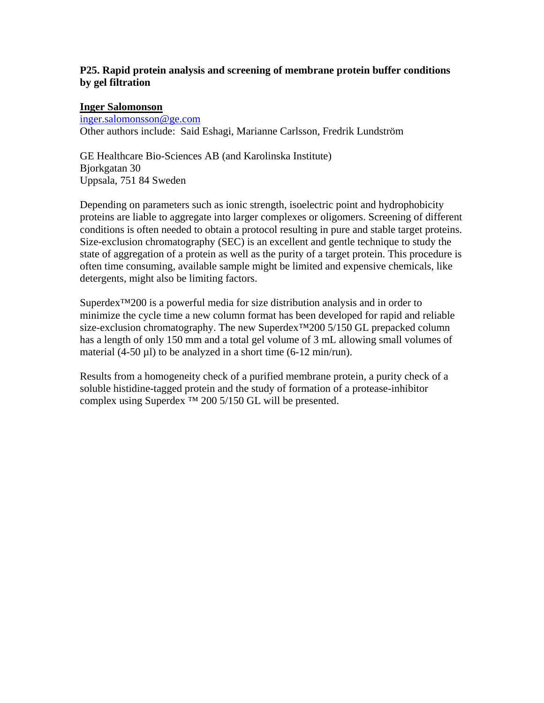# **P25. Rapid protein analysis and screening of membrane protein buffer conditions by gel filtration**

### **Inger Salomonson**

[inger.salomonsson@ge.com](mailto:inger.salomonsson@ge.com)

Other authors include: Said Eshagi, Marianne Carlsson, Fredrik Lundström

GE Healthcare Bio-Sciences AB (and Karolinska Institute) Bjorkgatan 30 Uppsala, 751 84 Sweden

Depending on parameters such as ionic strength, isoelectric point and hydrophobicity proteins are liable to aggregate into larger complexes or oligomers. Screening of different conditions is often needed to obtain a protocol resulting in pure and stable target proteins. Size-exclusion chromatography (SEC) is an excellent and gentle technique to study the state of aggregation of a protein as well as the purity of a target protein. This procedure is often time consuming, available sample might be limited and expensive chemicals, like detergents, might also be limiting factors.

Superdex™200 is a powerful media for size distribution analysis and in order to minimize the cycle time a new column format has been developed for rapid and reliable size-exclusion chromatography. The new Superdex<sup>™200</sup> 5/150 GL prepacked column has a length of only 150 mm and a total gel volume of 3 mL allowing small volumes of material (4-50 µl) to be analyzed in a short time (6-12 min/run).

Results from a homogeneity check of a purified membrane protein, a purity check of a soluble histidine-tagged protein and the study of formation of a protease-inhibitor complex using Superdex ™ 200 5/150 GL will be presented.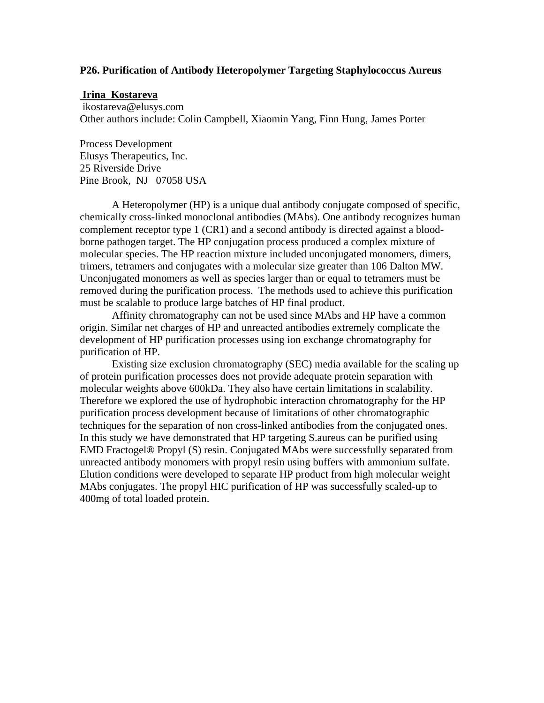#### **P26. Purification of Antibody Heteropolymer Targeting Staphylococcus Aureus**

#### **Irina Kostareva**

 ikostareva@elusys.com Other authors include: Colin Campbell, Xiaomin Yang, Finn Hung, James Porter

Process Development Elusys Therapeutics, Inc. 25 Riverside Drive Pine Brook, NJ 07058 USA

A Heteropolymer (HP) is a unique dual antibody conjugate composed of specific, chemically cross-linked monoclonal antibodies (MAbs). One antibody recognizes human complement receptor type 1 (CR1) and a second antibody is directed against a bloodborne pathogen target. The HP conjugation process produced a complex mixture of molecular species. The HP reaction mixture included unconjugated monomers, dimers, trimers, tetramers and conjugates with a molecular size greater than 106 Dalton MW. Unconjugated monomers as well as species larger than or equal to tetramers must be removed during the purification process. The methods used to achieve this purification must be scalable to produce large batches of HP final product.

Affinity chromatography can not be used since MAbs and HP have a common origin. Similar net charges of HP and unreacted antibodies extremely complicate the development of HP purification processes using ion exchange chromatography for purification of HP.

Existing size exclusion chromatography (SEC) media available for the scaling up of protein purification processes does not provide adequate protein separation with molecular weights above 600kDa. They also have certain limitations in scalability. Therefore we explored the use of hydrophobic interaction chromatography for the HP purification process development because of limitations of other chromatographic techniques for the separation of non cross-linked antibodies from the conjugated ones. In this study we have demonstrated that HP targeting S.aureus can be purified using EMD Fractogel® Propyl (S) resin. Conjugated MAbs were successfully separated from unreacted antibody monomers with propyl resin using buffers with ammonium sulfate. Elution conditions were developed to separate HP product from high molecular weight MAbs conjugates. The propyl HIC purification of HP was successfully scaled-up to 400mg of total loaded protein.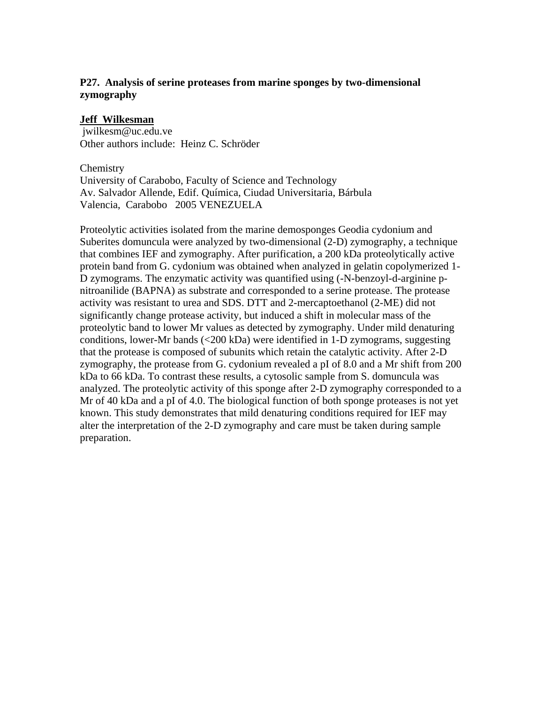# **P27. Analysis of serine proteases from marine sponges by two-dimensional zymography**

# **Jeff Wilkesman**

 jwilkesm@uc.edu.ve Other authors include: Heinz C. Schröder

**Chemistry** University of Carabobo, Faculty of Science and Technology Av. Salvador Allende, Edif. Química, Ciudad Universitaria, Bárbula Valencia, Carabobo 2005 VENEZUELA

Proteolytic activities isolated from the marine demosponges Geodia cydonium and Suberites domuncula were analyzed by two-dimensional (2-D) zymography, a technique that combines IEF and zymography. After purification, a 200 kDa proteolytically active protein band from G. cydonium was obtained when analyzed in gelatin copolymerized 1- D zymograms. The enzymatic activity was quantified using (-N-benzoyl-d-arginine pnitroanilide (BAPNA) as substrate and corresponded to a serine protease. The protease activity was resistant to urea and SDS. DTT and 2-mercaptoethanol (2-ME) did not significantly change protease activity, but induced a shift in molecular mass of the proteolytic band to lower Mr values as detected by zymography. Under mild denaturing conditions, lower-Mr bands (<200 kDa) were identified in 1-D zymograms, suggesting that the protease is composed of subunits which retain the catalytic activity. After 2-D zymography, the protease from G. cydonium revealed a pI of 8.0 and a Mr shift from 200 kDa to 66 kDa. To contrast these results, a cytosolic sample from S. domuncula was analyzed. The proteolytic activity of this sponge after 2-D zymography corresponded to a Mr of 40 kDa and a pI of 4.0. The biological function of both sponge proteases is not yet known. This study demonstrates that mild denaturing conditions required for IEF may alter the interpretation of the 2-D zymography and care must be taken during sample preparation.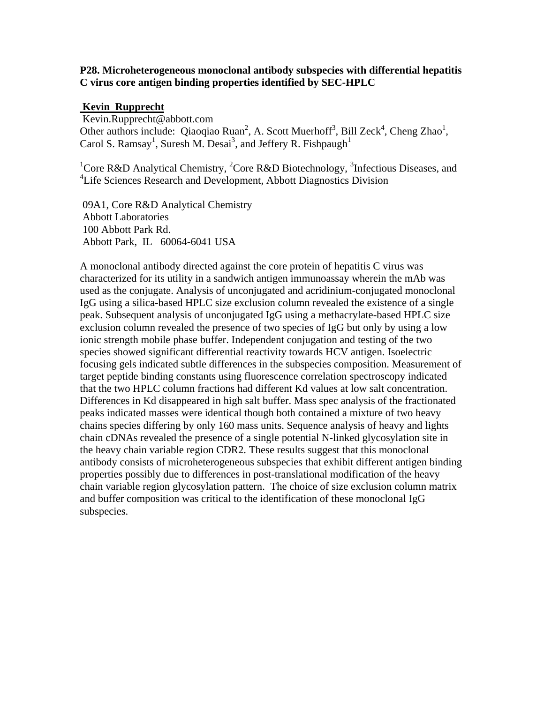### **P28. Microheterogeneous monoclonal antibody subspecies with differential hepatitis C virus core antigen binding properties identified by SEC-HPLC**

### **Kevin Rupprecht**

 Kevin.Rupprecht@abbott.com Other authors include: Qiaoqiao Ruan<sup>2</sup>, A. Scott Muerhoff<sup>3</sup>, Bill Zeck<sup>4</sup>, Cheng Zhao<sup>1</sup>, Carol S. Ramsay<sup>1</sup>, Suresh M. Desai<sup>3</sup>, and Jeffery R. Fishpaugh<sup>1</sup>

<sup>1</sup>Core R&D Analytical Chemistry, <sup>2</sup>Core R&D Biotechnology, <sup>3</sup>Infectious Diseases, and <sup>4</sup>Life Sciences Research and Development, Abbott Diagnostics Division

 09A1, Core R&D Analytical Chemistry Abbott Laboratories 100 Abbott Park Rd. Abbott Park, IL 60064-6041 USA

A monoclonal antibody directed against the core protein of hepatitis C virus was characterized for its utility in a sandwich antigen immunoassay wherein the mAb was used as the conjugate. Analysis of unconjugated and acridinium-conjugated monoclonal IgG using a silica-based HPLC size exclusion column revealed the existence of a single peak. Subsequent analysis of unconjugated IgG using a methacrylate-based HPLC size exclusion column revealed the presence of two species of IgG but only by using a low ionic strength mobile phase buffer. Independent conjugation and testing of the two species showed significant differential reactivity towards HCV antigen. Isoelectric focusing gels indicated subtle differences in the subspecies composition. Measurement of target peptide binding constants using fluorescence correlation spectroscopy indicated that the two HPLC column fractions had different Kd values at low salt concentration. Differences in Kd disappeared in high salt buffer. Mass spec analysis of the fractionated peaks indicated masses were identical though both contained a mixture of two heavy chains species differing by only 160 mass units. Sequence analysis of heavy and lights chain cDNAs revealed the presence of a single potential N-linked glycosylation site in the heavy chain variable region CDR2. These results suggest that this monoclonal antibody consists of microheterogeneous subspecies that exhibit different antigen binding properties possibly due to differences in post-translational modification of the heavy chain variable region glycosylation pattern. The choice of size exclusion column matrix and buffer composition was critical to the identification of these monoclonal IgG subspecies.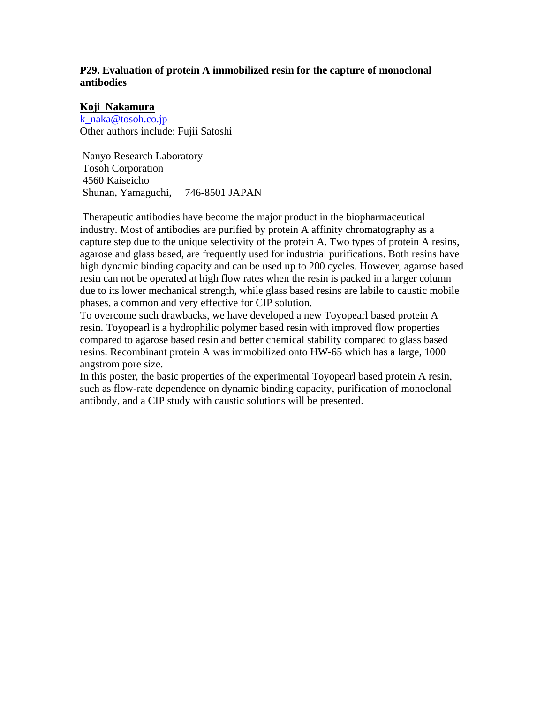# **P29. Evaluation of protein A immobilized resin for the capture of monoclonal antibodies**

#### **Koji Nakamura**

k naka@tosoh.co.jp Other authors include: Fujii Satoshi

 Nanyo Research Laboratory Tosoh Corporation 4560 Kaiseicho Shunan, Yamaguchi, 746-8501 JAPAN

 Therapeutic antibodies have become the major product in the biopharmaceutical industry. Most of antibodies are purified by protein A affinity chromatography as a capture step due to the unique selectivity of the protein A. Two types of protein A resins, agarose and glass based, are frequently used for industrial purifications. Both resins have high dynamic binding capacity and can be used up to 200 cycles. However, agarose based resin can not be operated at high flow rates when the resin is packed in a larger column due to its lower mechanical strength, while glass based resins are labile to caustic mobile phases, a common and very effective for CIP solution.

To overcome such drawbacks, we have developed a new Toyopearl based protein A resin. Toyopearl is a hydrophilic polymer based resin with improved flow properties compared to agarose based resin and better chemical stability compared to glass based resins. Recombinant protein A was immobilized onto HW-65 which has a large, 1000 angstrom pore size.

In this poster, the basic properties of the experimental Toyopearl based protein A resin, such as flow-rate dependence on dynamic binding capacity, purification of monoclonal antibody, and a CIP study with caustic solutions will be presented.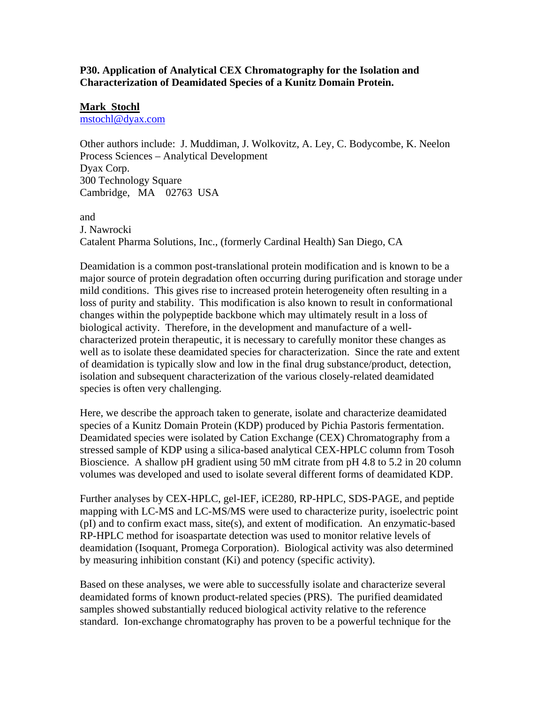# **P30. Application of Analytical CEX Chromatography for the Isolation and Characterization of Deamidated Species of a Kunitz Domain Protein.**

# **Mark Stochl**

[mstochl@dyax.com](mailto:mstochl@dyax.com)

Other authors include: J. Muddiman, J. Wolkovitz, A. Ley, C. Bodycombe, K. Neelon Process Sciences – Analytical Development Dyax Corp. 300 Technology Square Cambridge, MA 02763 USA

and J. Nawrocki Catalent Pharma Solutions, Inc., (formerly Cardinal Health) San Diego, CA

Deamidation is a common post-translational protein modification and is known to be a major source of protein degradation often occurring during purification and storage under mild conditions. This gives rise to increased protein heterogeneity often resulting in a loss of purity and stability. This modification is also known to result in conformational changes within the polypeptide backbone which may ultimately result in a loss of biological activity. Therefore, in the development and manufacture of a wellcharacterized protein therapeutic, it is necessary to carefully monitor these changes as well as to isolate these deamidated species for characterization. Since the rate and extent of deamidation is typically slow and low in the final drug substance/product, detection, isolation and subsequent characterization of the various closely-related deamidated species is often very challenging.

Here, we describe the approach taken to generate, isolate and characterize deamidated species of a Kunitz Domain Protein (KDP) produced by Pichia Pastoris fermentation. Deamidated species were isolated by Cation Exchange (CEX) Chromatography from a stressed sample of KDP using a silica-based analytical CEX-HPLC column from Tosoh Bioscience. A shallow pH gradient using 50 mM citrate from pH 4.8 to 5.2 in 20 column volumes was developed and used to isolate several different forms of deamidated KDP.

Further analyses by CEX-HPLC, gel-IEF, iCE280, RP-HPLC, SDS-PAGE, and peptide mapping with LC-MS and LC-MS/MS were used to characterize purity, isoelectric point (pI) and to confirm exact mass, site(s), and extent of modification. An enzymatic-based RP-HPLC method for isoaspartate detection was used to monitor relative levels of deamidation (Isoquant, Promega Corporation). Biological activity was also determined by measuring inhibition constant (Ki) and potency (specific activity).

Based on these analyses, we were able to successfully isolate and characterize several deamidated forms of known product-related species (PRS). The purified deamidated samples showed substantially reduced biological activity relative to the reference standard. Ion-exchange chromatography has proven to be a powerful technique for the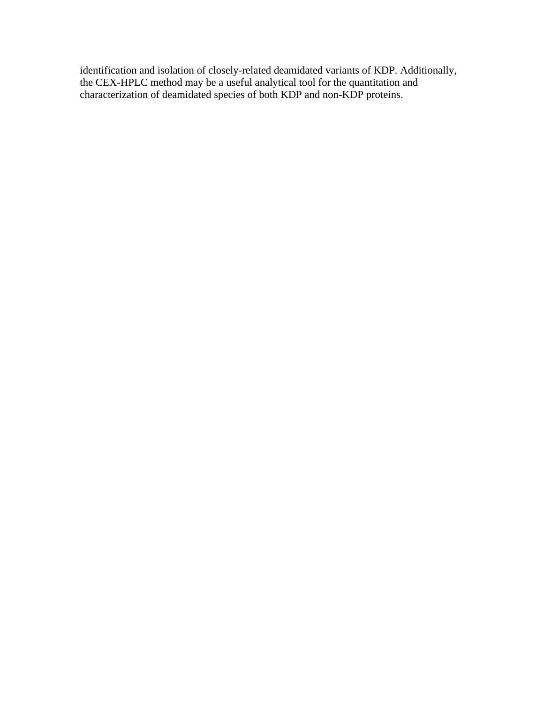identification and isolation of closely-related deamidated variants of KDP. Additionally, the CEX-HPLC method may be a useful analytical tool for the quantitation and characterization of deamidated species of both KDP and non-KDP proteins.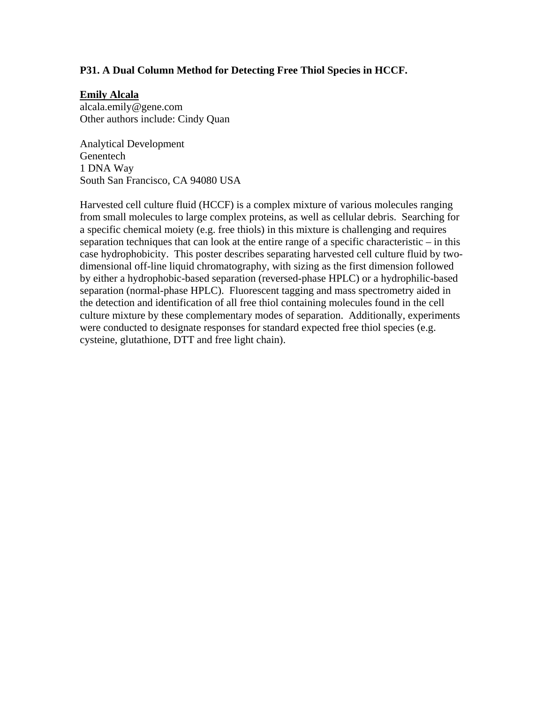# **P31. A Dual Column Method for Detecting Free Thiol Species in HCCF.**

### **Emily Alcala**

alcala.emily@gene.com Other authors include: Cindy Quan

Analytical Development Genentech 1 DNA Way South San Francisco, CA 94080 USA

Harvested cell culture fluid (HCCF) is a complex mixture of various molecules ranging from small molecules to large complex proteins, as well as cellular debris. Searching for a specific chemical moiety (e.g. free thiols) in this mixture is challenging and requires separation techniques that can look at the entire range of a specific characteristic – in this case hydrophobicity. This poster describes separating harvested cell culture fluid by twodimensional off-line liquid chromatography, with sizing as the first dimension followed by either a hydrophobic-based separation (reversed-phase HPLC) or a hydrophilic-based separation (normal-phase HPLC). Fluorescent tagging and mass spectrometry aided in the detection and identification of all free thiol containing molecules found in the cell culture mixture by these complementary modes of separation. Additionally, experiments were conducted to designate responses for standard expected free thiol species (e.g. cysteine, glutathione, DTT and free light chain).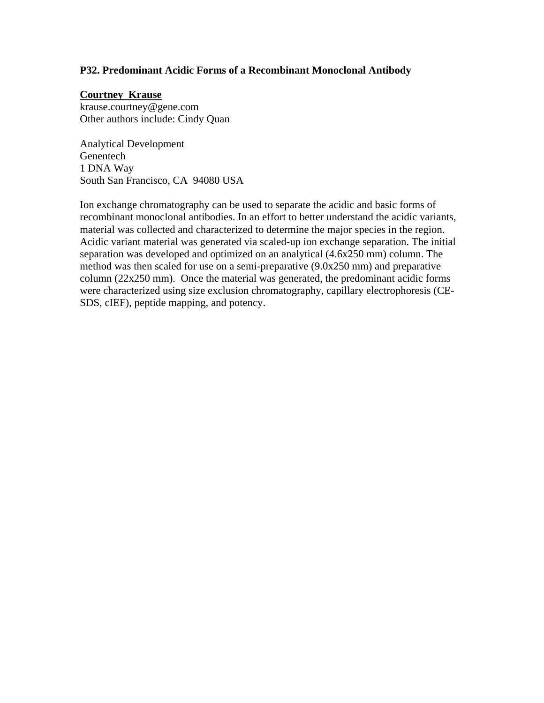## **P32. Predominant Acidic Forms of a Recombinant Monoclonal Antibody**

# **Courtney Krause**

krause.courtney@gene.com Other authors include: Cindy Quan

Analytical Development Genentech 1 DNA Way South San Francisco, CA 94080 USA

Ion exchange chromatography can be used to separate the acidic and basic forms of recombinant monoclonal antibodies. In an effort to better understand the acidic variants, material was collected and characterized to determine the major species in the region. Acidic variant material was generated via scaled-up ion exchange separation. The initial separation was developed and optimized on an analytical (4.6x250 mm) column. The method was then scaled for use on a semi-preparative (9.0x250 mm) and preparative column (22x250 mm). Once the material was generated, the predominant acidic forms were characterized using size exclusion chromatography, capillary electrophoresis (CE-SDS, cIEF), peptide mapping, and potency.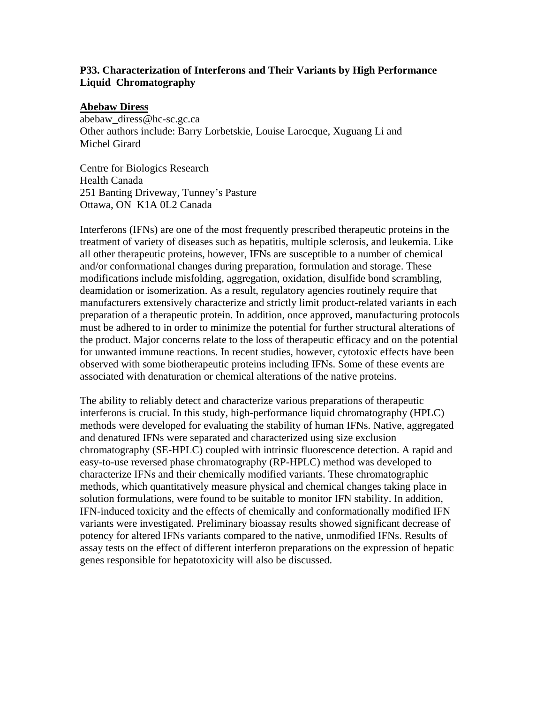# **P33. Characterization of Interferons and Their Variants by High Performance Liquid Chromatography**

#### **Abebaw Diress**

abebaw\_diress@hc-sc.gc.ca Other authors include: Barry Lorbetskie, Louise Larocque, Xuguang Li and Michel Girard

Centre for Biologics Research Health Canada 251 Banting Driveway, Tunney's Pasture Ottawa, ON K1A 0L2 Canada

Interferons (IFNs) are one of the most frequently prescribed therapeutic proteins in the treatment of variety of diseases such as hepatitis, multiple sclerosis, and leukemia. Like all other therapeutic proteins, however, IFNs are susceptible to a number of chemical and/or conformational changes during preparation, formulation and storage. These modifications include misfolding, aggregation, oxidation, disulfide bond scrambling, deamidation or isomerization. As a result, regulatory agencies routinely require that manufacturers extensively characterize and strictly limit product-related variants in each preparation of a therapeutic protein. In addition, once approved, manufacturing protocols must be adhered to in order to minimize the potential for further structural alterations of the product. Major concerns relate to the loss of therapeutic efficacy and on the potential for unwanted immune reactions. In recent studies, however, cytotoxic effects have been observed with some biotherapeutic proteins including IFNs. Some of these events are associated with denaturation or chemical alterations of the native proteins.

The ability to reliably detect and characterize various preparations of therapeutic interferons is crucial. In this study, high-performance liquid chromatography (HPLC) methods were developed for evaluating the stability of human IFNs. Native, aggregated and denatured IFNs were separated and characterized using size exclusion chromatography (SE-HPLC) coupled with intrinsic fluorescence detection. A rapid and easy-to-use reversed phase chromatography (RP-HPLC) method was developed to characterize IFNs and their chemically modified variants. These chromatographic methods, which quantitatively measure physical and chemical changes taking place in solution formulations, were found to be suitable to monitor IFN stability. In addition, IFN-induced toxicity and the effects of chemically and conformationally modified IFN variants were investigated. Preliminary bioassay results showed significant decrease of potency for altered IFNs variants compared to the native, unmodified IFNs. Results of assay tests on the effect of different interferon preparations on the expression of hepatic genes responsible for hepatotoxicity will also be discussed.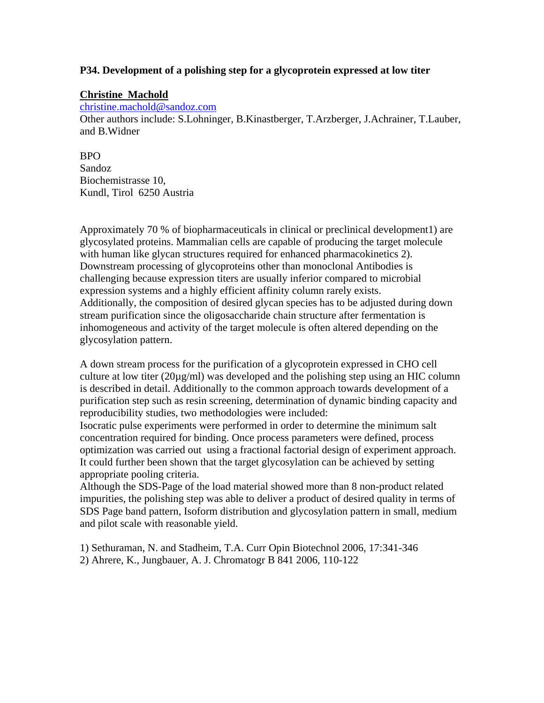# **P34. Development of a polishing step for a glycoprotein expressed at low titer**

# **Christine Machold**

[christine.machold@sandoz.com](mailto:christine.machold@sandoz.com)

Other authors include: S.Lohninger, B.Kinastberger, T.Arzberger, J.Achrainer, T.Lauber, and B.Widner

# BPO

Sandoz Biochemistrasse 10, Kundl, Tirol 6250 Austria

Approximately 70 % of biopharmaceuticals in clinical or preclinical development1) are glycosylated proteins. Mammalian cells are capable of producing the target molecule with human like glycan structures required for enhanced pharmacokinetics 2). Downstream processing of glycoproteins other than monoclonal Antibodies is challenging because expression titers are usually inferior compared to microbial expression systems and a highly efficient affinity column rarely exists. Additionally, the composition of desired glycan species has to be adjusted during down stream purification since the oligosaccharide chain structure after fermentation is inhomogeneous and activity of the target molecule is often altered depending on the glycosylation pattern.

A down stream process for the purification of a glycoprotein expressed in CHO cell culture at low titer (20µg/ml) was developed and the polishing step using an HIC column is described in detail. Additionally to the common approach towards development of a purification step such as resin screening, determination of dynamic binding capacity and reproducibility studies, two methodologies were included:

Isocratic pulse experiments were performed in order to determine the minimum salt concentration required for binding. Once process parameters were defined, process optimization was carried out using a fractional factorial design of experiment approach. It could further been shown that the target glycosylation can be achieved by setting appropriate pooling criteria.

Although the SDS-Page of the load material showed more than 8 non-product related impurities, the polishing step was able to deliver a product of desired quality in terms of SDS Page band pattern, Isoform distribution and glycosylation pattern in small, medium and pilot scale with reasonable yield.

1) Sethuraman, N. and Stadheim, T.A. Curr Opin Biotechnol 2006, 17:341-346 2) Ahrere, K., Jungbauer, A. J. Chromatogr B 841 2006, 110-122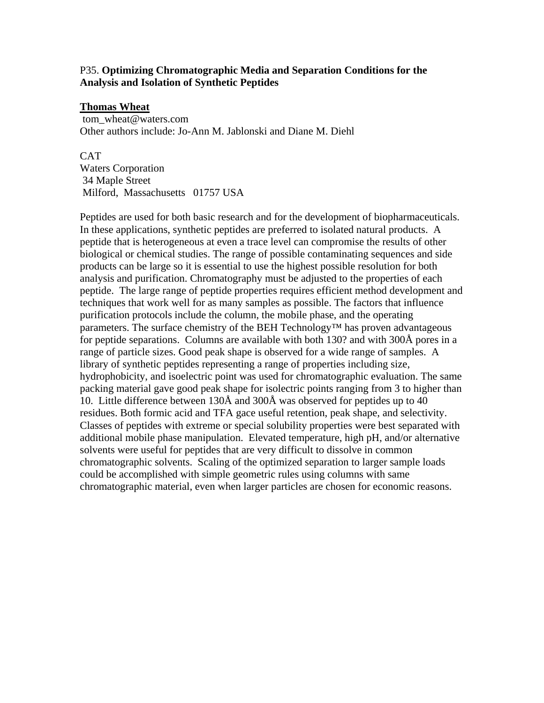# P35. **Optimizing Chromatographic Media and Separation Conditions for the Analysis and Isolation of Synthetic Peptides**

### **Thomas Wheat**

tom\_wheat@waters.com Other authors include: Jo-Ann M. Jablonski and Diane M. Diehl

CAT Waters Corporation 34 Maple Street Milford, Massachusetts 01757 USA

Peptides are used for both basic research and for the development of biopharmaceuticals. In these applications, synthetic peptides are preferred to isolated natural products. A peptide that is heterogeneous at even a trace level can compromise the results of other biological or chemical studies. The range of possible contaminating sequences and side products can be large so it is essential to use the highest possible resolution for both analysis and purification. Chromatography must be adjusted to the properties of each peptide. The large range of peptide properties requires efficient method development and techniques that work well for as many samples as possible. The factors that influence purification protocols include the column, the mobile phase, and the operating parameters. The surface chemistry of the BEH Technology<sup>™</sup> has proven advantageous for peptide separations. Columns are available with both 130? and with 300Å pores in a range of particle sizes. Good peak shape is observed for a wide range of samples. A library of synthetic peptides representing a range of properties including size, hydrophobicity, and isoelectric point was used for chromatographic evaluation. The same packing material gave good peak shape for isolectric points ranging from 3 to higher than 10. Little difference between 130Å and 300Å was observed for peptides up to 40 residues. Both formic acid and TFA gace useful retention, peak shape, and selectivity. Classes of peptides with extreme or special solubility properties were best separated with additional mobile phase manipulation. Elevated temperature, high pH, and/or alternative solvents were useful for peptides that are very difficult to dissolve in common chromatographic solvents. Scaling of the optimized separation to larger sample loads could be accomplished with simple geometric rules using columns with same chromatographic material, even when larger particles are chosen for economic reasons.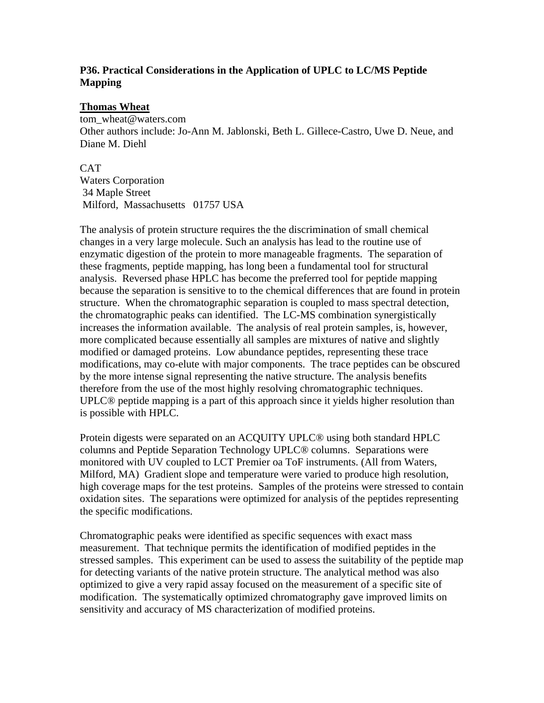# **P36. Practical Considerations in the Application of UPLC to LC/MS Peptide Mapping**

### **Thomas Wheat**

tom\_wheat@waters.com Other authors include: Jo-Ann M. Jablonski, Beth L. Gillece-Castro, Uwe D. Neue, and Diane M. Diehl

**CAT** Waters Corporation 34 Maple Street Milford, Massachusetts 01757 USA

The analysis of protein structure requires the the discrimination of small chemical changes in a very large molecule. Such an analysis has lead to the routine use of enzymatic digestion of the protein to more manageable fragments. The separation of these fragments, peptide mapping, has long been a fundamental tool for structural analysis. Reversed phase HPLC has become the preferred tool for peptide mapping because the separation is sensitive to to the chemical differences that are found in protein structure. When the chromatographic separation is coupled to mass spectral detection, the chromatographic peaks can identified. The LC-MS combination synergistically increases the information available. The analysis of real protein samples, is, however, more complicated because essentially all samples are mixtures of native and slightly modified or damaged proteins. Low abundance peptides, representing these trace modifications, may co-elute with major components. The trace peptides can be obscured by the more intense signal representing the native structure. The analysis benefits therefore from the use of the most highly resolving chromatographic techniques. UPLC® peptide mapping is a part of this approach since it yields higher resolution than is possible with HPLC.

Protein digests were separated on an ACQUITY UPLC® using both standard HPLC columns and Peptide Separation Technology UPLC® columns. Separations were monitored with UV coupled to LCT Premier oa ToF instruments. (All from Waters, Milford, MA) Gradient slope and temperature were varied to produce high resolution, high coverage maps for the test proteins. Samples of the proteins were stressed to contain oxidation sites. The separations were optimized for analysis of the peptides representing the specific modifications.

Chromatographic peaks were identified as specific sequences with exact mass measurement. That technique permits the identification of modified peptides in the stressed samples. This experiment can be used to assess the suitability of the peptide map for detecting variants of the native protein structure. The analytical method was also optimized to give a very rapid assay focused on the measurement of a specific site of modification. The systematically optimized chromatography gave improved limits on sensitivity and accuracy of MS characterization of modified proteins.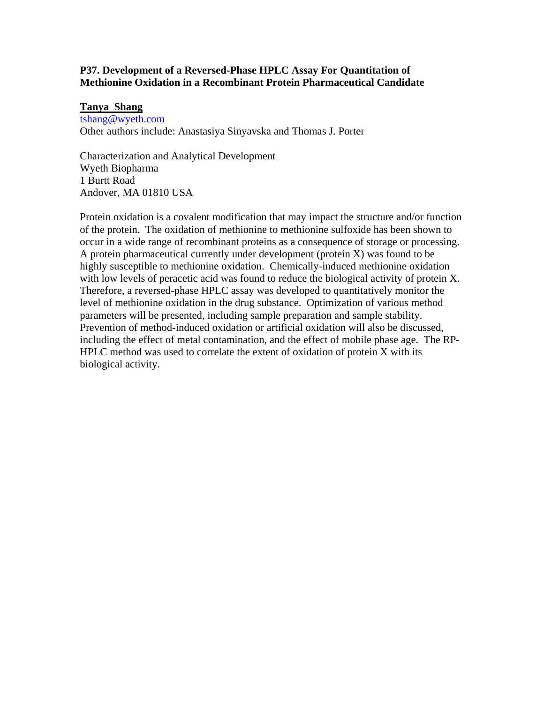# **P37. Development of a Reversed-Phase HPLC Assay For Quantitation of Methionine Oxidation in a Recombinant Protein Pharmaceutical Candidate**

#### **Tanya Shang**

[tshang@wyeth.com](mailto:tshang@wyeth.com) Other authors include: Anastasiya Sinyavska and Thomas J. Porter

Characterization and Analytical Development Wyeth Biopharma 1 Burtt Road Andover, MA 01810 USA

Protein oxidation is a covalent modification that may impact the structure and/or function of the protein. The oxidation of methionine to methionine sulfoxide has been shown to occur in a wide range of recombinant proteins as a consequence of storage or processing. A protein pharmaceutical currently under development (protein X) was found to be highly susceptible to methionine oxidation. Chemically-induced methionine oxidation with low levels of peracetic acid was found to reduce the biological activity of protein X. Therefore, a reversed-phase HPLC assay was developed to quantitatively monitor the level of methionine oxidation in the drug substance. Optimization of various method parameters will be presented, including sample preparation and sample stability. Prevention of method-induced oxidation or artificial oxidation will also be discussed, including the effect of metal contamination, and the effect of mobile phase age. The RP-HPLC method was used to correlate the extent of oxidation of protein X with its biological activity.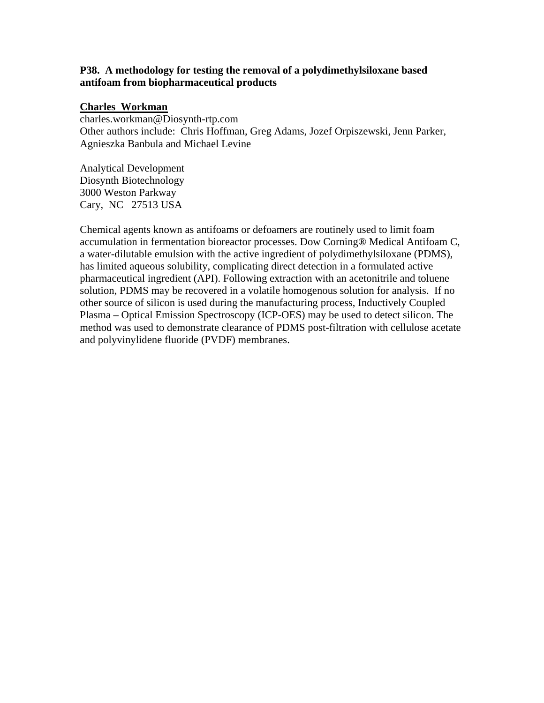# **P38. A methodology for testing the removal of a polydimethylsiloxane based antifoam from biopharmaceutical products**

#### **Charles Workman**

charles.workman@Diosynth-rtp.com Other authors include: Chris Hoffman, Greg Adams, Jozef Orpiszewski, Jenn Parker, Agnieszka Banbula and Michael Levine

Analytical Development Diosynth Biotechnology 3000 Weston Parkway Cary, NC 27513 USA

Chemical agents known as antifoams or defoamers are routinely used to limit foam accumulation in fermentation bioreactor processes. Dow Corning® Medical Antifoam C, a water-dilutable emulsion with the active ingredient of polydimethylsiloxane (PDMS), has limited aqueous solubility, complicating direct detection in a formulated active pharmaceutical ingredient (API). Following extraction with an acetonitrile and toluene solution, PDMS may be recovered in a volatile homogenous solution for analysis. If no other source of silicon is used during the manufacturing process, Inductively Coupled Plasma – Optical Emission Spectroscopy (ICP-OES) may be used to detect silicon. The method was used to demonstrate clearance of PDMS post-filtration with cellulose acetate and polyvinylidene fluoride (PVDF) membranes.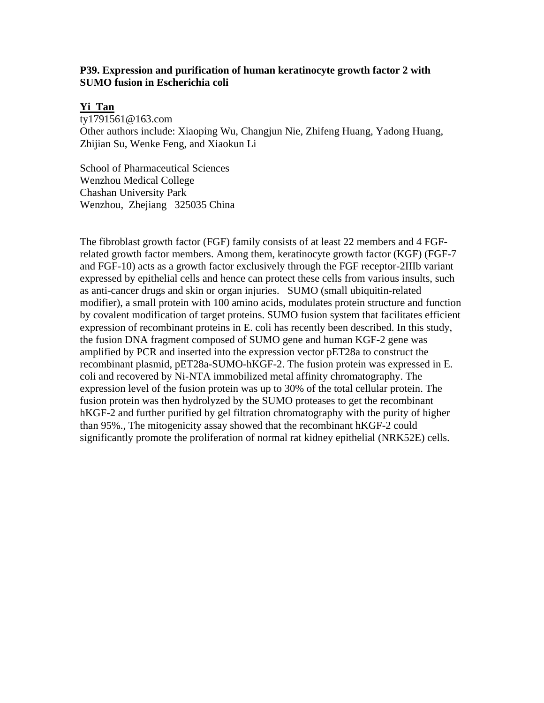## **P39. Expression and purification of human keratinocyte growth factor 2 with SUMO fusion in Escherichia coli**

### **Yi Tan**

ty1791561@163.com Other authors include: Xiaoping Wu, Changjun Nie, Zhifeng Huang, Yadong Huang, Zhijian Su, Wenke Feng, and Xiaokun Li

School of Pharmaceutical Sciences Wenzhou Medical College Chashan University Park Wenzhou, Zhejiang 325035 China

The fibroblast growth factor (FGF) family consists of at least 22 members and 4 FGFrelated growth factor members. Among them, keratinocyte growth factor (KGF) (FGF-7 and FGF-10) acts as a growth factor exclusively through the FGF receptor-2IIIb variant expressed by epithelial cells and hence can protect these cells from various insults, such as anti-cancer drugs and skin or organ injuries. SUMO (small ubiquitin-related modifier), a small protein with 100 amino acids, modulates protein structure and function by covalent modification of target proteins. SUMO fusion system that facilitates efficient expression of recombinant proteins in E. coli has recently been described. In this study, the fusion DNA fragment composed of SUMO gene and human KGF-2 gene was amplified by PCR and inserted into the expression vector pET28a to construct the recombinant plasmid, pET28a-SUMO-hKGF-2. The fusion protein was expressed in E. coli and recovered by Ni-NTA immobilized metal affinity chromatography. The expression level of the fusion protein was up to 30% of the total cellular protein. The fusion protein was then hydrolyzed by the SUMO proteases to get the recombinant hKGF-2 and further purified by gel filtration chromatography with the purity of higher than 95%., The mitogenicity assay showed that the recombinant hKGF-2 could significantly promote the proliferation of normal rat kidney epithelial (NRK52E) cells.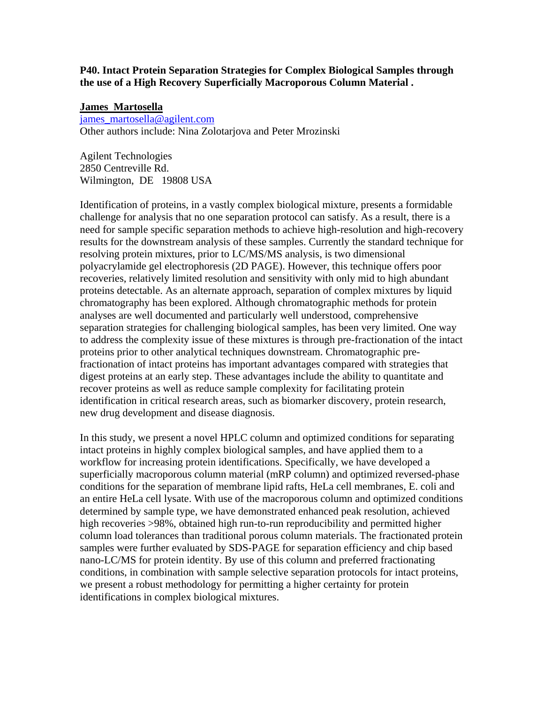**P40. Intact Protein Separation Strategies for Complex Biological Samples through the use of a High Recovery Superficially Macroporous Column Material .** 

### **James Martosella**

[james\\_martosella@agilent.com](mailto:james_martosella@agilent.com) Other authors include: Nina Zolotarjova and Peter Mrozinski

Agilent Technologies 2850 Centreville Rd. Wilmington, DE 19808 USA

Identification of proteins, in a vastly complex biological mixture, presents a formidable challenge for analysis that no one separation protocol can satisfy. As a result, there is a need for sample specific separation methods to achieve high-resolution and high-recovery results for the downstream analysis of these samples. Currently the standard technique for resolving protein mixtures, prior to LC/MS/MS analysis, is two dimensional polyacrylamide gel electrophoresis (2D PAGE). However, this technique offers poor recoveries, relatively limited resolution and sensitivity with only mid to high abundant proteins detectable. As an alternate approach, separation of complex mixtures by liquid chromatography has been explored. Although chromatographic methods for protein analyses are well documented and particularly well understood, comprehensive separation strategies for challenging biological samples, has been very limited. One way to address the complexity issue of these mixtures is through pre-fractionation of the intact proteins prior to other analytical techniques downstream. Chromatographic prefractionation of intact proteins has important advantages compared with strategies that digest proteins at an early step. These advantages include the ability to quantitate and recover proteins as well as reduce sample complexity for facilitating protein identification in critical research areas, such as biomarker discovery, protein research, new drug development and disease diagnosis.

In this study, we present a novel HPLC column and optimized conditions for separating intact proteins in highly complex biological samples, and have applied them to a workflow for increasing protein identifications. Specifically, we have developed a superficially macroporous column material (mRP column) and optimized reversed-phase conditions for the separation of membrane lipid rafts, HeLa cell membranes, E. coli and an entire HeLa cell lysate. With use of the macroporous column and optimized conditions determined by sample type, we have demonstrated enhanced peak resolution, achieved high recoveries >98%, obtained high run-to-run reproducibility and permitted higher column load tolerances than traditional porous column materials. The fractionated protein samples were further evaluated by SDS-PAGE for separation efficiency and chip based nano-LC/MS for protein identity. By use of this column and preferred fractionating conditions, in combination with sample selective separation protocols for intact proteins, we present a robust methodology for permitting a higher certainty for protein identifications in complex biological mixtures.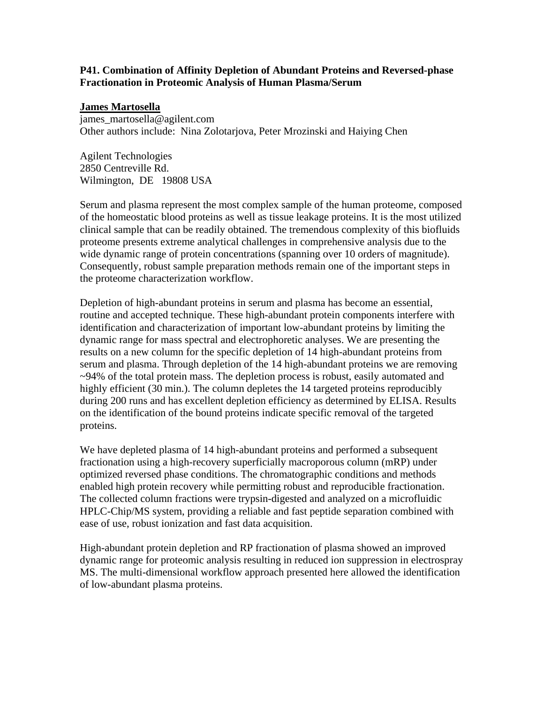# **P41. Combination of Affinity Depletion of Abundant Proteins and Reversed-phase Fractionation in Proteomic Analysis of Human Plasma/Serum**

## **James Martosella**

james\_martosella@agilent.com Other authors include: Nina Zolotarjova, Peter Mrozinski and Haiying Chen

Agilent Technologies 2850 Centreville Rd. Wilmington, DE 19808 USA

Serum and plasma represent the most complex sample of the human proteome, composed of the homeostatic blood proteins as well as tissue leakage proteins. It is the most utilized clinical sample that can be readily obtained. The tremendous complexity of this biofluids proteome presents extreme analytical challenges in comprehensive analysis due to the wide dynamic range of protein concentrations (spanning over 10 orders of magnitude). Consequently, robust sample preparation methods remain one of the important steps in the proteome characterization workflow.

Depletion of high-abundant proteins in serum and plasma has become an essential, routine and accepted technique. These high-abundant protein components interfere with identification and characterization of important low-abundant proteins by limiting the dynamic range for mass spectral and electrophoretic analyses. We are presenting the results on a new column for the specific depletion of 14 high-abundant proteins from serum and plasma. Through depletion of the 14 high-abundant proteins we are removing ~94% of the total protein mass. The depletion process is robust, easily automated and highly efficient (30 min.). The column depletes the 14 targeted proteins reproducibly during 200 runs and has excellent depletion efficiency as determined by ELISA. Results on the identification of the bound proteins indicate specific removal of the targeted proteins.

We have depleted plasma of 14 high-abundant proteins and performed a subsequent fractionation using a high-recovery superficially macroporous column (mRP) under optimized reversed phase conditions. The chromatographic conditions and methods enabled high protein recovery while permitting robust and reproducible fractionation. The collected column fractions were trypsin-digested and analyzed on a microfluidic HPLC-Chip/MS system, providing a reliable and fast peptide separation combined with ease of use, robust ionization and fast data acquisition.

High-abundant protein depletion and RP fractionation of plasma showed an improved dynamic range for proteomic analysis resulting in reduced ion suppression in electrospray MS. The multi-dimensional workflow approach presented here allowed the identification of low-abundant plasma proteins.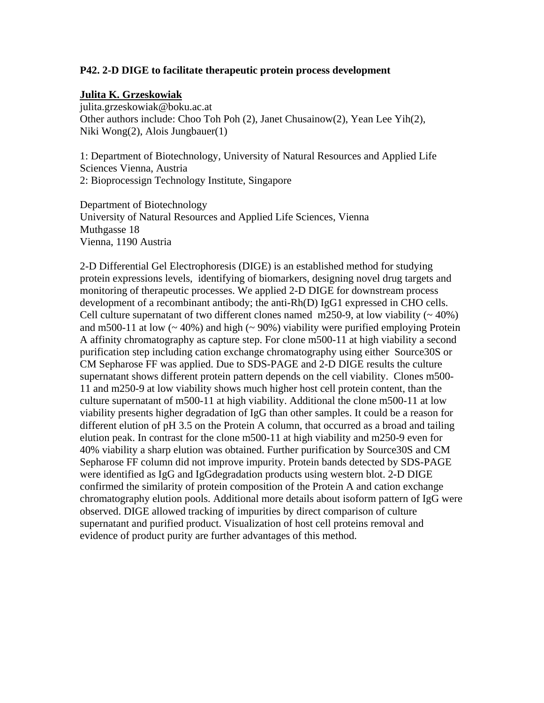### **P42. 2-D DIGE to facilitate therapeutic protein process development**

### **Julita K. Grzeskowiak**

julita.grzeskowiak@boku.ac.at Other authors include: Choo Toh Poh (2), Janet Chusainow(2), Yean Lee Yih(2), Niki Wong(2), Alois Jungbauer(1)

1: Department of Biotechnology, University of Natural Resources and Applied Life Sciences Vienna, Austria 2: Bioprocessign Technology Institute, Singapore

Department of Biotechnology University of Natural Resources and Applied Life Sciences, Vienna Muthgasse 18 Vienna, 1190 Austria

2-D Differential Gel Electrophoresis (DIGE) is an established method for studying protein expressions levels, identifying of biomarkers, designing novel drug targets and monitoring of therapeutic processes. We applied 2-D DIGE for downstream process development of a recombinant antibody; the anti-Rh(D) IgG1 expressed in CHO cells. Cell culture supernatant of two different clones named m250-9, at low viability  $($   $\sim$  40%) and m500-11 at low  $($   $\sim$  40%) and high  $($   $\sim$  90%) viability were purified employing Protein A affinity chromatography as capture step. For clone m500-11 at high viability a second purification step including cation exchange chromatography using either Source30S or CM Sepharose FF was applied. Due to SDS-PAGE and 2-D DIGE results the culture supernatant shows different protein pattern depends on the cell viability. Clones m500- 11 and m250-9 at low viability shows much higher host cell protein content, than the culture supernatant of m500-11 at high viability. Additional the clone m500-11 at low viability presents higher degradation of IgG than other samples. It could be a reason for different elution of pH 3.5 on the Protein A column, that occurred as a broad and tailing elution peak. In contrast for the clone m500-11 at high viability and m250-9 even for 40% viability a sharp elution was obtained. Further purification by Source30S and CM Sepharose FF column did not improve impurity. Protein bands detected by SDS-PAGE were identified as IgG and IgGdegradation products using western blot. 2-D DIGE confirmed the similarity of protein composition of the Protein A and cation exchange chromatography elution pools. Additional more details about isoform pattern of IgG were observed. DIGE allowed tracking of impurities by direct comparison of culture supernatant and purified product. Visualization of host cell proteins removal and evidence of product purity are further advantages of this method.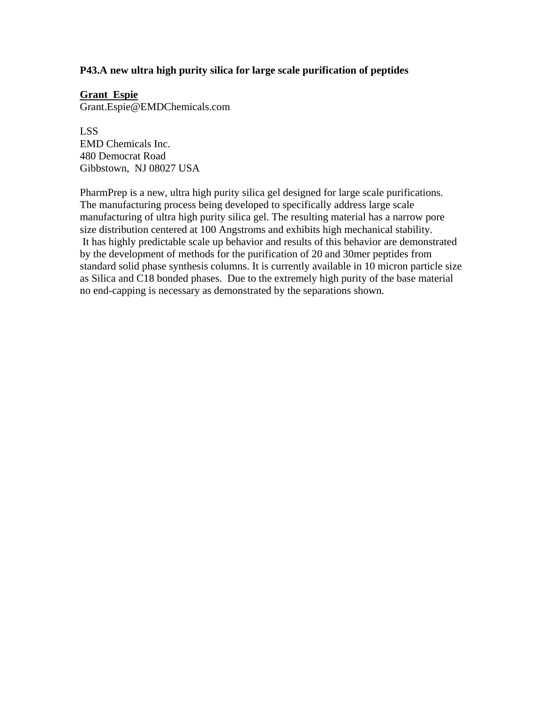# **P43.A new ultra high purity silica for large scale purification of peptides**

## **Grant Espie**

Grant.Espie@EMDChemicals.com

LSS EMD Chemicals Inc. 480 Democrat Road Gibbstown, NJ 08027 USA

PharmPrep is a new, ultra high purity silica gel designed for large scale purifications. The manufacturing process being developed to specifically address large scale manufacturing of ultra high purity silica gel. The resulting material has a narrow pore size distribution centered at 100 Angstroms and exhibits high mechanical stability. It has highly predictable scale up behavior and results of this behavior are demonstrated by the development of methods for the purification of 20 and 30mer peptides from standard solid phase synthesis columns. It is currently available in 10 micron particle size as Silica and C18 bonded phases. Due to the extremely high purity of the base material no end-capping is necessary as demonstrated by the separations shown.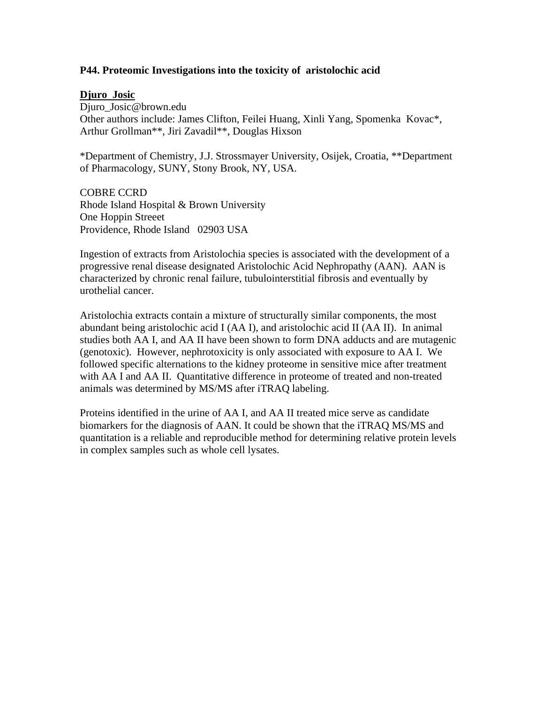## **P44. Proteomic Investigations into the toxicity of aristolochic acid**

### **Djuro Josic**

Djuro Josic@brown.edu Other authors include: James Clifton, Feilei Huang, Xinli Yang, Spomenka Kovac\*, Arthur Grollman\*\*, Jiri Zavadil\*\*, Douglas Hixson

\*Department of Chemistry, J.J. Strossmayer University, Osijek, Croatia, \*\*Department of Pharmacology, SUNY, Stony Brook, NY, USA.

COBRE CCRD Rhode Island Hospital & Brown University One Hoppin Streeet Providence, Rhode Island 02903 USA

Ingestion of extracts from Aristolochia species is associated with the development of a progressive renal disease designated Aristolochic Acid Nephropathy (AAN). AAN is characterized by chronic renal failure, tubulointerstitial fibrosis and eventually by urothelial cancer.

Aristolochia extracts contain a mixture of structurally similar components, the most abundant being aristolochic acid I (AA I), and aristolochic acid II (AA II). In animal studies both AA I, and AA II have been shown to form DNA adducts and are mutagenic (genotoxic). However, nephrotoxicity is only associated with exposure to AA I. We followed specific alternations to the kidney proteome in sensitive mice after treatment with AA I and AA II. Quantitative difference in proteome of treated and non-treated animals was determined by MS/MS after iTRAQ labeling.

Proteins identified in the urine of AA I, and AA II treated mice serve as candidate biomarkers for the diagnosis of AAN. It could be shown that the iTRAQ MS/MS and quantitation is a reliable and reproducible method for determining relative protein levels in complex samples such as whole cell lysates.